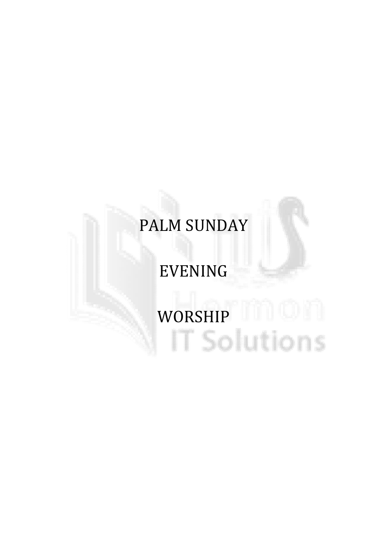# PALM SUNDAY

# EVENING

# WORSHIP HILL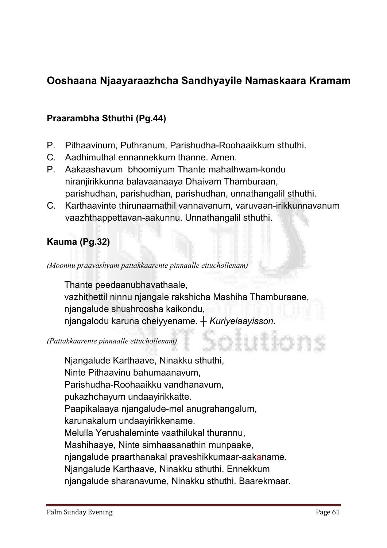# Ooshaana Njaayaraazhcha Sandhyayile Namaskaara Kramam

#### Praarambha Sthuthi (Pg.44)

- **P. Pithaavinum, Puthranum, Parishudha-Roohaaikkum sthuthi.**
- **C. Aadhimuthal ennannekkum thanne. Amen.**
- **P. Aakaashavum bhoomiyum Thante mahathwam-kondu niranjirikkunna balavaanaaya Dhaivam Thamburaan, parishudhan, parishudhan, parishudhan, unnathangalil sthuthi.**
- **C. Karthaavinte thirunaamathil vannavanum, varuvaan-irikkunnavanum vaazhthappettavan-aakunnu. Unnathangalil sthuthi.**

#### Kauma (Pg.32)

*(Moonnu praavashyam pattakkaarente pinnaalle ettuchollenam)*

**Thante peedaanubhavathaale, vazhithettil ninnu njangale rakshicha Mashiha Thamburaane, njangalude shushroosha kaikondu, njangalodu karuna cheiyyename.** *┼ Kuriyelaayisson.*

#### *(Pattakkaarente pinnaalle ettuchollenam)*

**Njangalude Karthaave, Ninakku sthuthi, Ninte Pithaavinu bahumaanavum, Parishudha-Roohaaikku vandhanavum, pukazhchayum undaayirikkatte. Paapikalaaya njangalude-mel anugrahangalum, karunakalum undaayirikkename. Melulla Yerushaleminte vaathilukal thurannu, Mashihaaye, Ninte simhaasanathin munpaake, njangalude praarthanakal praveshikkumaar-aakaname. Njangalude Karthaave, Ninakku sthuthi. Ennekkum njangalude sharanavume, Ninakku sthuthi. Baarekmaar.**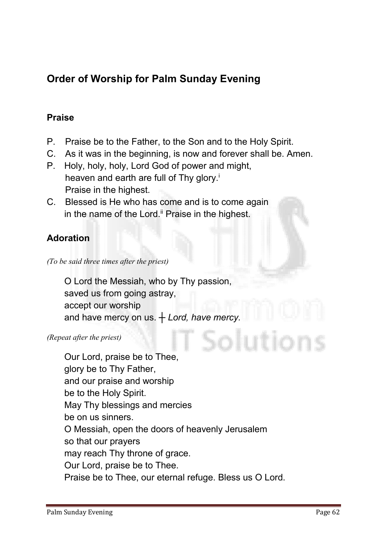# Order of Worship for Palm Sunday Evening

#### Praise

- **P. Praise be to the Father, to the Son and to the Holy Spirit.**
- **C. As it was in the beginning, is now and forever shall be. Amen.**
- **P. Holy, holy, holy, Lord God of power and might, heaven and earth are full of Thy glory.i Praise in the highest.**
- **C. Blessed is He who has come and is to come again in the name of the Lord.ii Praise in the highest.**

#### Adoration

*(To be said three times after the priest)*

**O Lord the Messiah, who by Thy passion, saved us from going astray, accept our worship and have mercy on us.** *┼ Lord, have mercy.*

*(Repeat after the priest)*

**Our Lord, praise be to Thee, glory be to Thy Father, and our praise and worship be to the Holy Spirit. May Thy blessings and mercies be on us sinners. O Messiah, open the doors of heavenly Jerusalem so that our prayers may reach Thy throne of grace. Our Lord, praise be to Thee. Praise be to Thee, our eternal refuge. Bless us O Lord.**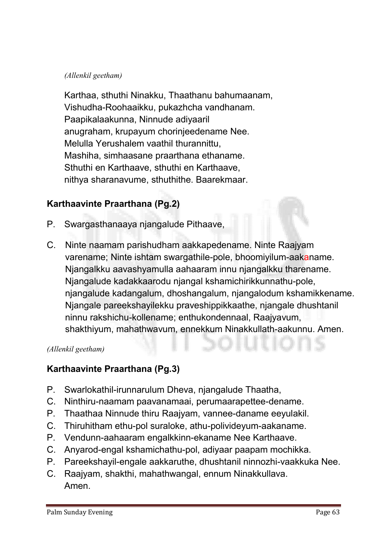#### *(Allenkil geetham)*

**Karthaa, sthuthi Ninakku, Thaathanu bahumaanam, Vishudha-Roohaaikku, pukazhcha vandhanam. Paapikalaakunna, Ninnude adiyaaril anugraham, krupayum chorinjeedename Nee. Melulla Yerushalem vaathil thurannittu, Mashiha, simhaasane praarthana ethaname. Sthuthi en Karthaave, sthuthi en Karthaave, nithya sharanavume, sthuthithe. Baarekmaar.**

#### Karthaavinte Praarthana (Pg.2)

- **P. Swargasthanaaya njangalude Pithaave,**
- **C. Ninte naamam parishudham aakkapedename. Ninte Raajyam varename; Ninte ishtam swargathile-pole, bhoomiyilum-aakaname. Njangalkku aavashyamulla aahaaram innu njangalkku tharename. Njangalude kadakkaarodu njangal kshamichirikkunnathu-pole, njangalude kadangalum, dhoshangalum, njangalodum kshamikkename. Njangale pareekshayilekku praveshippikkaathe, njangale dhushtanil ninnu rakshichu-kollename; enthukondennaal, Raajyavum, shakthiyum, mahathwavum, ennekkum Ninakkullath-aakunnu. Amen.**

#### *(Allenkil geetham)*

#### Karthaavinte Praarthana (Pg.3)

- **P. Swarlokathil-irunnarulum Dheva, njangalude Thaatha,**
- **C. Ninthiru-naamam paavanamaai, perumaarapettee-dename.**
- **P. Thaathaa Ninnude thiru Raajyam, vannee-daname eeyulakil.**
- **C. Thiruhitham ethu-pol suraloke, athu-polivideyum-aakaname.**
- **P. Vendunn-aahaaram engalkkinn-ekaname Nee Karthaave.**
- **C. Anyarod-engal kshamichathu-pol, adiyaar paapam mochikka.**
- **P. Pareekshayil-engale aakkaruthe, dhushtanil ninnozhi-vaakkuka Nee.**
- **C. Raajyam, shakthi, mahathwangal, ennum Ninakkullava. Amen.**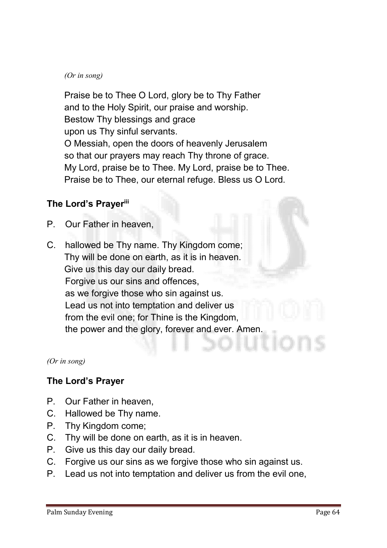#### *(Or in song)*

**Praise be to Thee O Lord, glory be to Thy Father and to the Holy Spirit, our praise and worship. Bestow Thy blessings and grace upon us Thy sinful servants. O Messiah, open the doors of heavenly Jerusalem so that our prayers may reach Thy throne of grace. My Lord, praise be to Thee. My Lord, praise be to Thee. Praise be to Thee, our eternal refuge. Bless us O Lord.**

#### The Lord's Prayeriii

- **P. Our Father in heaven,**
- **C. hallowed be Thy name. Thy Kingdom come; Thy will be done on earth, as it is in heaven. Give us this day our daily bread. Forgive us our sins and offences, as we forgive those who sin against us. Lead us not into temptation and deliver us from the evil one; for Thine is the Kingdom, the power and the glory, forever and ever. Amen.**

*(Or in song)*

#### The Lord's Prayer

- **P. Our Father in heaven,**
- **C. Hallowed be Thy name.**
- **P. Thy Kingdom come;**
- **C. Thy will be done on earth, as it is in heaven.**
- **P. Give us this day our daily bread.**
- **C. Forgive us our sins as we forgive those who sin against us.**
- **P. Lead us not into temptation and deliver us from the evil one,**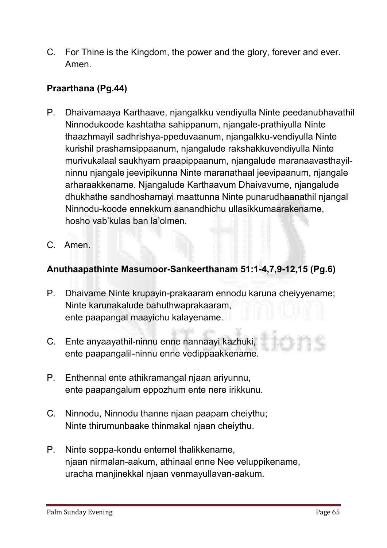**C. For Thine is the Kingdom, the power and the glory, forever and ever. Amen.**

#### Praarthana (Pg.44)

- **P. Dhaivamaaya Karthaave, njangalkku vendiyulla Ninte peedanubhavathil Ninnodukoode kashtatha sahippanum, njangale-prathiyulla Ninte thaazhmayil sadhrishya-ppeduvaanum, njangalkku-vendiyulla Ninte kurishil prashamsippaanum, njangalude rakshakkuvendiyulla Ninte murivukalaal saukhyam praapippaanum, njangalude maranaavasthayilninnu njangale jeevipikunna Ninte maranathaal jeevipaanum, njangale arharaakkename. Njangalude Karthaavum Dhaivavume, njangalude dhukhathe sandhoshamayi maattunna Ninte punarudhaanathil njangal Ninnodu-koode ennekkum aanandhichu ullasikkumaarakename, hosho vab'kulas ban la'olmen.**
- **C. Amen.**

#### Anuthaapathinte Masumoor-Sankeerthanam 51:1-4,7,9-12,15 (Pg.6)

- **P. Dhaivame Ninte krupayin-prakaaram ennodu karuna cheiyyename; Ninte karunakalude bahuthwaprakaaram, ente paapangal maayichu kalayename.**
- **C. Ente anyaayathil-ninnu enne nannaayi kazhuki, ente paapangalil-ninnu enne vedippaakkename.**
- **P. Enthennal ente athikramangal njaan ariyunnu, ente paapangalum eppozhum ente nere irikkunu.**
- **C. Ninnodu, Ninnodu thanne njaan paapam cheiythu; Ninte thirumunbaake thinmakal njaan cheiythu.**
- **P. Ninte soppa-kondu entemel thalikkename, njaan nirmalan-aakum, athinaal enne Nee veluppikename, uracha manjinekkal njaan venmayullavan-aakum.**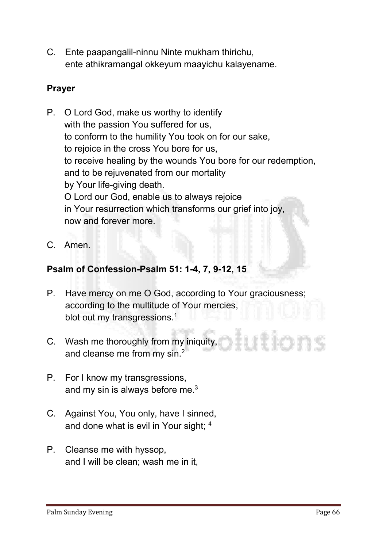**C. Ente paapangalil-ninnu Ninte mukham thirichu, ente athikramangal okkeyum maayichu kalayename.**

#### Prayer

**P. O Lord God, make us worthy to identify with the passion You suffered for us, to conform to the humility You took on for our sake, to rejoice in the cross You bore for us, to receive healing by the wounds You bore for our redemption, and to be rejuvenated from our mortality by Your life-giving death. O Lord our God, enable us to always rejoice in Your resurrection which transforms our grief into joy, now and forever more.**

**C. Amen.** 

#### Psalm of Confession-Psalm 51: 1-4, 7, 9-12, 15

- **P. Have mercy on me O God, according to Your graciousness; according to the multitude of Your mercies, blot out my transgressions.1**
- **C. Wash me thoroughly from my iniquity, and cleanse me from my sin.2**
- **P. For I know my transgressions, and my sin is always before me.3**
- **C. Against You, You only, have I sinned, and done what is evil in Your sight; 4**
- **P. Cleanse me with hyssop, and I will be clean; wash me in it,**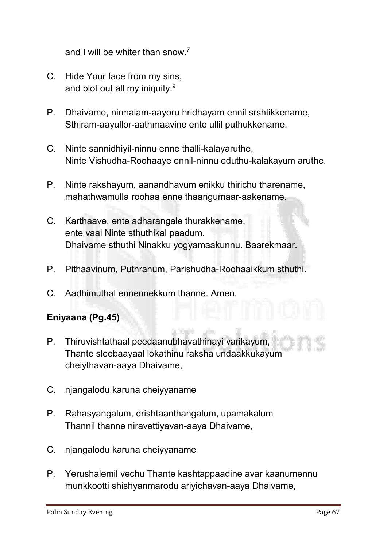**and I will be whiter than snow.7**

- **C. Hide Your face from my sins, and blot out all my iniquity.9**
- **P. Dhaivame, nirmalam-aayoru hridhayam ennil srshtikkename, Sthiram-aayullor-aathmaavine ente ullil puthukkename.**
- **C. Ninte sannidhiyil-ninnu enne thalli-kalayaruthe, Ninte Vishudha-Roohaaye ennil-ninnu eduthu-kalakayum aruthe.**
- **P. Ninte rakshayum, aanandhavum enikku thirichu tharename, mahathwamulla roohaa enne thaangumaar-aakename.**
- **C. Karthaave, ente adharangale thurakkename, ente vaai Ninte sthuthikal paadum. Dhaivame sthuthi Ninakku yogyamaakunnu. Baarekmaar.**
- **P. Pithaavinum, Puthranum, Parishudha-Roohaaikkum sthuthi.**
- **C. Aadhimuthal ennennekkum thanne. Amen.**

#### Eniyaana (Pg.45)

- **P. Thiruvishtathaal peedaanubhavathinayi varikayum, Thante sleebaayaal lokathinu raksha undaakkukayum cheiythavan-aaya Dhaivame,**
- **C. njangalodu karuna cheiyyaname**
- **P. Rahasyangalum, drishtaanthangalum, upamakalum Thannil thanne niravettiyavan-aaya Dhaivame,**
- **C. njangalodu karuna cheiyyaname**
- **P. Yerushalemil vechu Thante kashtappaadine avar kaanumennu munkkootti shishyanmarodu ariyichavan-aaya Dhaivame,**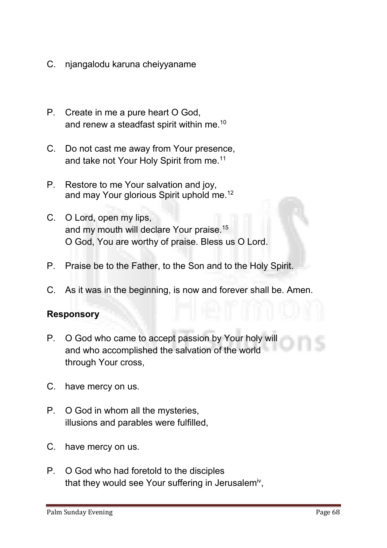- **C. njangalodu karuna cheiyyaname**
- **P. Create in me a pure heart O God, and renew a steadfast spirit within me.10**
- **C. Do not cast me away from Your presence, and take not Your Holy Spirit from me.11**
- **P. Restore to me Your salvation and joy, and may Your glorious Spirit uphold me.12**
- **C. O Lord, open my lips, and my mouth will declare Your praise.15 O God, You are worthy of praise. Bless us O Lord.**
- **P. Praise be to the Father, to the Son and to the Holy Spirit.**
- **C. As it was in the beginning, is now and forever shall be. Amen.**

#### Responsory

- **P. O God who came to accept passion by Your holy will and who accomplished the salvation of the world through Your cross,**
- **C. have mercy on us.**
- **P. O God in whom all the mysteries, illusions and parables were fulfilled,**
- **C. have mercy on us.**
- **P. O God who had foretold to the disciples that they would see Your suffering in Jerusalemiv,**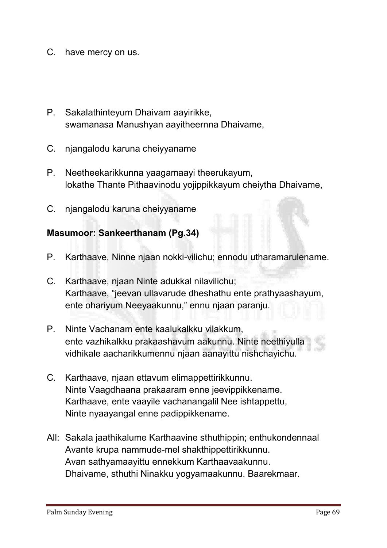- **C. have mercy on us.**
- **P. Sakalathinteyum Dhaivam aayirikke, swamanasa Manushyan aayitheernna Dhaivame,**
- **C. njangalodu karuna cheiyyaname**
- **P. Neetheekarikkunna yaagamaayi theerukayum, lokathe Thante Pithaavinodu yojippikkayum cheiytha Dhaivame,**
- **C. njangalodu karuna cheiyyaname**

#### Masumoor: Sankeerthanam (Pg.34)

- **P. Karthaave, Ninne njaan nokki-vilichu; ennodu utharamarulename.**
- **C. Karthaave, njaan Ninte adukkal nilavilichu; Karthaave, "jeevan ullavarude dheshathu ente prathyaashayum, ente ohariyum Neeyaakunnu," ennu njaan paranju.**
- **P. Ninte Vachanam ente kaalukalkku vilakkum, ente vazhikalkku prakaashavum aakunnu. Ninte neethiyulla vidhikale aacharikkumennu njaan aanayittu nishchayichu.**
- **C. Karthaave, njaan ettavum elimappettirikkunnu. Ninte Vaagdhaana prakaaram enne jeevippikkename. Karthaave, ente vaayile vachanangalil Nee ishtappettu, Ninte nyaayangal enne padippikkename.**
- **All: Sakala jaathikalume Karthaavine sthuthippin; enthukondennaal Avante krupa nammude-mel shakthippettirikkunnu. Avan sathyamaayittu ennekkum Karthaavaakunnu. Dhaivame, sthuthi Ninakku yogyamaakunnu. Baarekmaar.**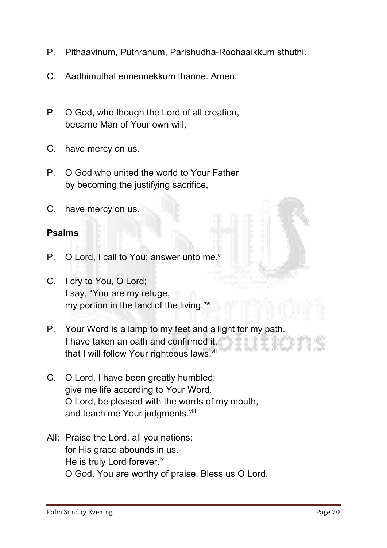- **P. Pithaavinum, Puthranum, Parishudha-Roohaaikkum sthuthi.**
- **C. Aadhimuthal ennennekkum thanne. Amen.**
- **P. O God, who though the Lord of all creation, became Man of Your own will,**
- **C. have mercy on us.**
- **P. O God who united the world to Your Father by becoming the justifying sacrifice,**
- **C. have mercy on us.**

#### Psalms

- **P. O Lord, I call to You; answer unto me.v**
- **C. I cry to You, O Lord; I say, "You are my refuge, my portion in the land of the living."vi**
- **P. Your Word is a lamp to my feet and a light for my path. I have taken an oath and confirmed it, that I will follow Your righteous laws. vii**
- **C. O Lord, I have been greatly humbled; give me life according to Your Word. O Lord, be pleased with the words of my mouth, and teach me Your judgments. viii**
- **All: Praise the Lord, all you nations; for His grace abounds in us. He is truly Lord forever.ix O God, You are worthy of praise. Bless us O Lord.**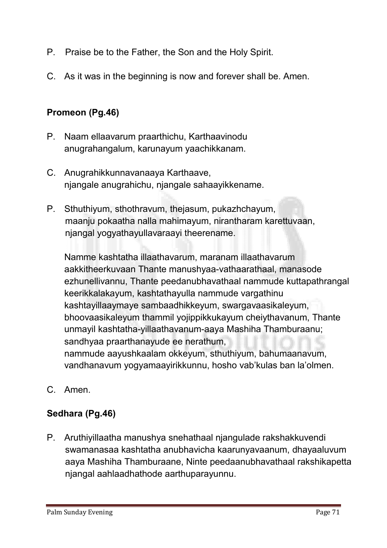- **P. Praise be to the Father, the Son and the Holy Spirit.**
- **C. As it was in the beginning is now and forever shall be. Amen.**

#### Promeon (Pg.46)

- **P. Naam ellaavarum praarthichu, Karthaavinodu anugrahangalum, karunayum yaachikkanam.**
- **C. Anugrahikkunnavanaaya Karthaave, njangale anugrahichu, njangale sahaayikkename.**
- **P. Sthuthiyum, sthothravum, thejasum, pukazhchayum, maanju pokaatha nalla mahimayum, nirantharam karettuvaan, njangal yogyathayullavaraayi theerename.**

**Namme kashtatha illaathavarum, maranam illaathavarum aakkitheerkuvaan Thante manushyaa-vathaarathaal, manasode ezhunellivannu, Thante peedanubhavathaal nammude kuttapathrangal keerikkalakayum, kashtathayulla nammude vargathinu kashtayillaaymaye sambaadhikkeyum, swargavaasikaleyum, bhoovaasikaleyum thammil yojippikkukayum cheiythavanum, Thante unmayil kashtatha-yillaathavanum-aaya Mashiha Thamburaanu; sandhyaa praarthanayude ee nerathum, nammude aayushkaalam okkeyum, sthuthiyum, bahumaanavum, vandhanavum yogyamaayirikkunnu, hosho vab'kulas ban la'olmen.**

**C. Amen.**

#### Sedhara (Pg.46)

**P. Aruthiyillaatha manushya snehathaal njangulade rakshakkuvendi swamanasaa kashtatha anubhavicha kaarunyavaanum, dhayaaluvum aaya Mashiha Thamburaane, Ninte peedaanubhavathaal rakshikapetta njangal aahlaadhathode aarthuparayunnu.**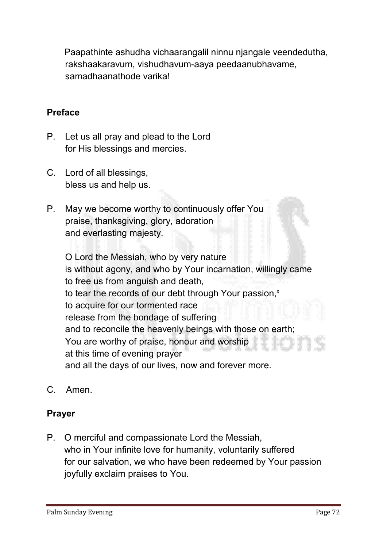**Paapathinte ashudha vichaarangalil ninnu njangale veendedutha, rakshaakaravum, vishudhavum-aaya peedaanubhavame, samadhaanathode varika!** 

#### Preface

- **P. Let us all pray and plead to the Lord for His blessings and mercies.**
- **C. Lord of all blessings, bless us and help us.**
- **P. May we become worthy to continuously offer You praise, thanksgiving, glory, adoration and everlasting majesty.**

**O Lord the Messiah, who by very nature is without agony, and who by Your incarnation, willingly came to free us from anguish and death, to tear the records of our debt through Your passion, x to acquire for our tormented race release from the bondage of suffering and to reconcile the heavenly beings with those on earth; You are worthy of praise, honour and worship at this time of evening prayer and all the days of our lives, now and forever more.**

**C. Amen.**

#### Prayer

**P. O merciful and compassionate Lord the Messiah, who in Your infinite love for humanity, voluntarily suffered for our salvation, we who have been redeemed by Your passion joyfully exclaim praises to You.**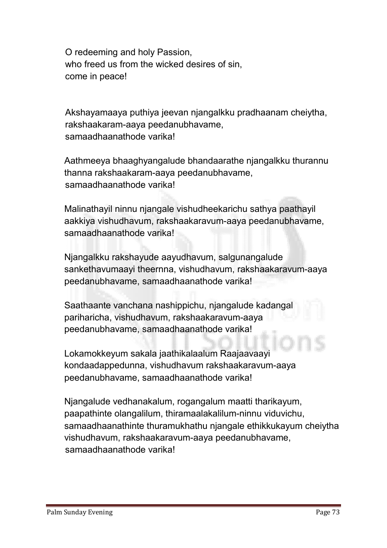**O redeeming and holy Passion, who freed us from the wicked desires of sin, come in peace!**

**Akshayamaaya puthiya jeevan njangalkku pradhaanam cheiytha, rakshaakaram-aaya peedanubhavame, samaadhaanathode varika!** 

**Aathmeeya bhaaghyangalude bhandaarathe njangalkku thurannu thanna rakshaakaram-aaya peedanubhavame, samaadhaanathode varika!** 

**Malinathayil ninnu njangale vishudheekarichu sathya paathayil aakkiya vishudhavum, rakshaakaravum-aaya peedanubhavame, samaadhaanathode varika!** 

**Njangalkku rakshayude aayudhavum, salgunangalude sankethavumaayi theernna, vishudhavum, rakshaakaravum-aaya peedanubhavame, samaadhaanathode varika!** 

**Saathaante vanchana nashippichu, njangalude kadangal pariharicha, vishudhavum, rakshaakaravum-aaya peedanubhavame, samaadhaanathode varika!** 

**Lokamokkeyum sakala jaathikalaalum Raajaavaayi kondaadappedunna, vishudhavum rakshaakaravum-aaya peedanubhavame, samaadhaanathode varika!** 

**Njangalude vedhanakalum, rogangalum maatti tharikayum, paapathinte olangalilum, thiramaalakalilum-ninnu viduvichu, samaadhaanathinte thuramukhathu njangale ethikkukayum cheiytha vishudhavum, rakshaakaravum-aaya peedanubhavame, samaadhaanathode varika!**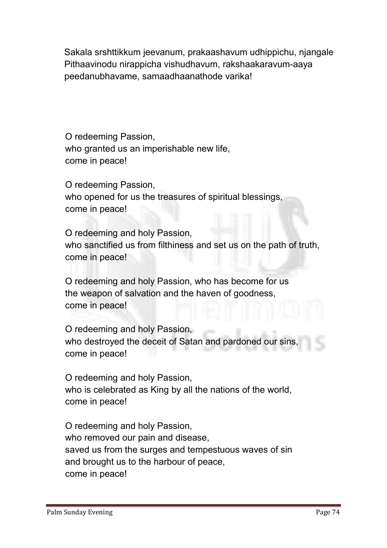**Sakala srshttikkum jeevanum, prakaashavum udhippichu, njangale Pithaavinodu nirappicha vishudhavum, rakshaakaravum-aaya peedanubhavame, samaadhaanathode varika!** 

**O redeeming Passion, who granted us an imperishable new life, come in peace!**

**O redeeming Passion, who opened for us the treasures of spiritual blessings, come in peace!**

**O redeeming and holy Passion, who sanctified us from filthiness and set us on the path of truth, come in peace!**

**O redeeming and holy Passion, who has become for us the weapon of salvation and the haven of goodness, come in peace!**

**O redeeming and holy Passion, who destroyed the deceit of Satan and pardoned our sins, come in peace!**

**O redeeming and holy Passion, who is celebrated as King by all the nations of the world, come in peace!**

**O redeeming and holy Passion, who removed our pain and disease, saved us from the surges and tempestuous waves of sin and brought us to the harbour of peace, come in peace!**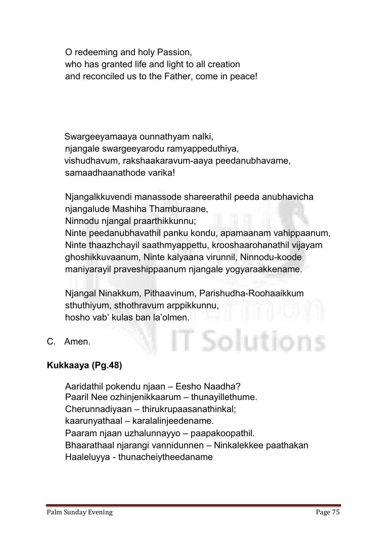**O redeeming and holy Passion, who has granted life and light to all creation and reconciled us to the Father, come in peace!**

**Swargeeyamaaya ounnathyam nalki, njangale swargeeyarodu ramyappeduthiya, vishudhavum, rakshaakaravum-aaya peedanubhavame, samaadhaanathode varika!** 

**Njangalkkuvendi manassode shareerathil peeda anubhavicha njangalude Mashiha Thamburaane, Ninnodu njangal praarthikkunnu; Ninte peedanubhavathil panku kondu, apamaanam vahippaanum, Ninte thaazhchayil saathmyappettu, krooshaarohanathil vijayam ghoshikkuvaanum, Ninte kalyaana virunnil, Ninnodu-koode maniyarayil praveshippaanum njangale yogyaraakkename.** 

**Njangal Ninakkum, Pithaavinum, Parishudha-Roohaaikkum sthuthiyum, sthothravum arppikkunnu, hosho vab' kulas ban la'olmen.**

T Solutior

**C. Amen.**

#### Kukkaaya (Pg.48)

**Aaridathil pokendu njaan – Eesho Naadha? Paaril Nee ozhinjenikkaarum – thunayillethume. Cherunnadiyaan – thirukrupaasanathinkal; kaarunyathaal – karalalinjeedename. Paaram njaan uzhalunnayyo – paapakoopathil. Bhaarathaal njarangi vannidunnen – Ninkalekkee paathakan Haaleluyya - thunacheiytheedaname**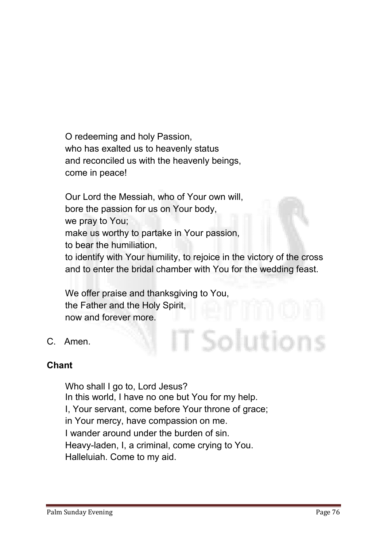**O redeeming and holy Passion, who has exalted us to heavenly status and reconciled us with the heavenly beings, come in peace!**

**Our Lord the Messiah, who of Your own will, bore the passion for us on Your body, we pray to You; make us worthy to partake in Your passion, to bear the humiliation, to identify with Your humility, to rejoice in the victory of the cross and to enter the bridal chamber with You for the wedding feast.**

IT Solutions

**We offer praise and thanksgiving to You, the Father and the Holy Spirit, now and forever more.**

**C. Amen.**

#### Chant

**Who shall I go to, Lord Jesus? In this world, I have no one but You for my help. I, Your servant, come before Your throne of grace; in Your mercy, have compassion on me. I wander around under the burden of sin. Heavy-laden, I, a criminal, come crying to You. Halleluiah. Come to my aid.**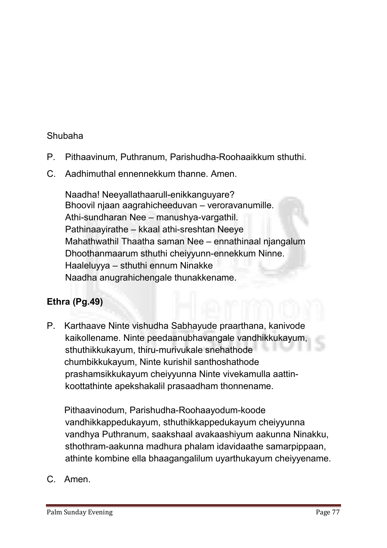#### **Shubaha**

- **P. Pithaavinum, Puthranum, Parishudha-Roohaaikkum sthuthi.**
- **C. Aadhimuthal ennennekkum thanne. Amen.**

**Naadha! Neeyallathaarull-enikkanguyare? Bhoovil njaan aagrahicheeduvan – veroravanumille. Athi-sundharan Nee – manushya-vargathil. Pathinaayirathe – kkaal athi-sreshtan Neeye Mahathwathil Thaatha saman Nee – ennathinaal njangalum Dhoothanmaarum sthuthi cheiyyunn-ennekkum Ninne. Haaleluyya – sthuthi ennum Ninakke Naadha anugrahichengale thunakkename.**

#### Ethra (Pg.49)

**P. Karthaave Ninte vishudha Sabhayude praarthana, kanivode kaikollename. Ninte peedaanubhavangale vandhikkukayum, sthuthikkukayum, thiru-murivukale snehathode chumbikkukayum, Ninte kurishil santhoshathode prashamsikkukayum cheiyyunna Ninte vivekamulla aattinkoottathinte apekshakalil prasaadham thonnename.** 

**Pithaavinodum, Parishudha-Roohaayodum-koode vandhikkappedukayum, sthuthikkappedukayum cheiyyunna vandhya Puthranum, saakshaal avakaashiyum aakunna Ninakku, sthothram-aakunna madhura phalam idavidaathe samarpippaan, athinte kombine ella bhaagangalilum uyarthukayum cheiyyename.**

**C. Amen.**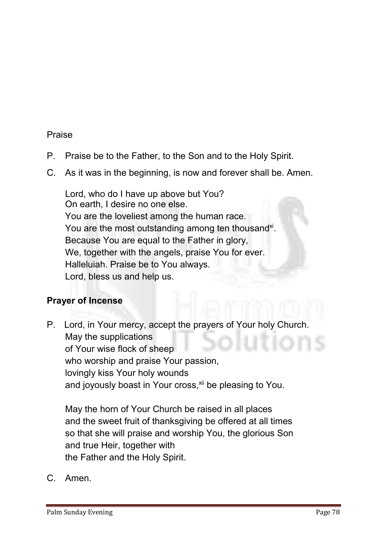#### **Praise**

- **P. Praise be to the Father, to the Son and to the Holy Spirit.**
- **C. As it was in the beginning, is now and forever shall be. Amen.**

**Lord, who do I have up above but You? On earth, I desire no one else. You are the loveliest among the human race.**  You are the most outstanding among ten thousand<sup>xi</sup>. **Because You are equal to the Father in glory, We, together with the angels, praise You for ever. Halleluiah. Praise be to You always. Lord, bless us and help us.**

#### Prayer of Incense

**P. Lord, in Your mercy, accept the prayers of Your holy Church. May the supplications of Your wise flock of sheep who worship and praise Your passion, lovingly kiss Your holy wounds and joyously boast in Your cross, xii be pleasing to You.**

**May the horn of Your Church be raised in all places and the sweet fruit of thanksgiving be offered at all times so that she will praise and worship You, the glorious Son and true Heir, together with the Father and the Holy Spirit.**

**C. Amen.**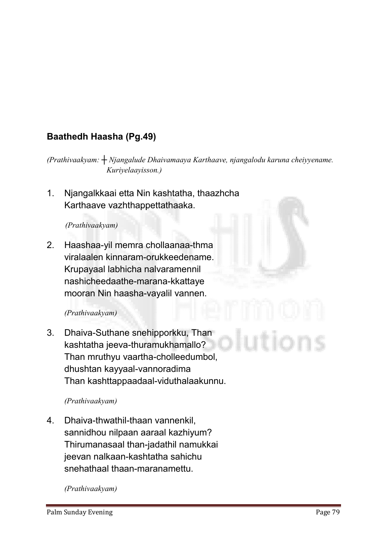## Baathedh Haasha (Pg.49)

*(Prathivaakyam: ┼ Njangalude Dhaivamaaya Karthaave, njangalodu karuna cheiyyename. Kuriyelaayisson.)* 

**1. Njangalkkaai etta Nin kashtatha, thaazhcha Karthaave vazhthappettathaaka.**

#### *(Prathivaakyam)*

**2. Haashaa-yil memra chollaanaa-thma viralaalen kinnaram-orukkeedename. Krupayaal labhicha nalvaramennil nashicheedaathe-marana-kkattaye mooran Nin haasha-vayalil vannen.**

#### *(Prathivaakyam)*

**3. Dhaiva-Suthane snehipporkku, Than kashtatha jeeva-thuramukhamallo? Than mruthyu vaartha-cholleedumbol, dhushtan kayyaal-vannoradima Than kashttappaadaal-viduthalaakunnu.**

#### *(Prathivaakyam)*

**4. Dhaiva-thwathil-thaan vannenkil, sannidhou nilpaan aaraal kazhiyum? Thirumanasaal than-jadathil namukkai jeevan nalkaan-kashtatha sahichu snehathaal thaan-maranamettu.** 

*(Prathivaakyam)*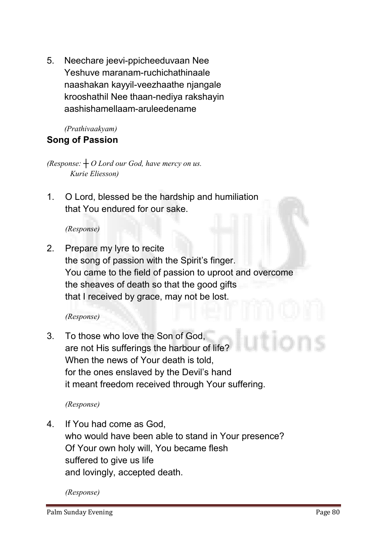**5. Neechare jeevi-ppicheeduvaan Nee Yeshuve maranam-ruchichathinaale naashakan kayyil-veezhaathe njangale krooshathil Nee thaan-nediya rakshayin aashishamellaam-aruleedename**

#### *(Prathivaakyam)*  Song of Passion

*(Response: ┼ O Lord our God, have mercy on us. Kurie Eliesson)*

**1. O Lord, blessed be the hardship and humiliation that You endured for our sake.** 

*(Response)*

**2. Prepare my lyre to recite the song of passion with the Spirit's finger. You came to the field of passion to uproot and overcome the sheaves of death so that the good gifts that I received by grace, may not be lost.**

#### *(Response)*

**3. To those who love the Son of God, are not His sufferings the harbour of life? When the news of Your death is told, for the ones enslaved by the Devil's hand it meant freedom received through Your suffering.**

*(Response)*

**4. If You had come as God, who would have been able to stand in Your presence? Of Your own holy will, You became flesh suffered to give us life and lovingly, accepted death.** 

*(Response)*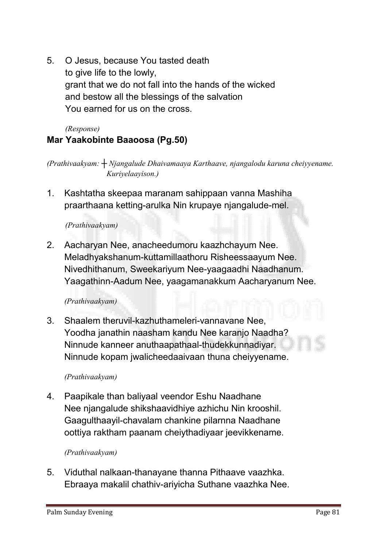**5. O Jesus, because You tasted death to give life to the lowly, grant that we do not fall into the hands of the wicked and bestow all the blessings of the salvation You earned for us on the cross.**

# *(Response)*

Mar Yaakobinte Baaoosa (Pg.50)

*(Prathivaakyam: ┼ Njangalude Dhaivamaaya Karthaave, njangalodu karuna cheiyyename. Kuriyelaayison.)* 

**1. Kashtatha skeepaa maranam sahippaan vanna Mashiha praarthaana ketting-arulka Nin krupaye njangalude-mel.**

*(Prathivaakyam)* 

**2. Aacharyan Nee, anacheedumoru kaazhchayum Nee. Meladhyakshanum-kuttamillaathoru Risheessaayum Nee. Nivedhithanum, Sweekariyum Nee-yaagaadhi Naadhanum. Yaagathinn-Aadum Nee, yaagamanakkum Aacharyanum Nee.**

*(Prathivaakyam)* 

**3. Shaalem theruvil-kazhuthameleri-vannavane Nee, Yoodha janathin naasham kandu Nee karanjo Naadha? Ninnude kanneer anuthaapathaal-thudekkunnadiyar. Ninnude kopam jwalicheedaaivaan thuna cheiyyename.**

#### *(Prathivaakyam)*

**4. Paapikale than baliyaal veendor Eshu Naadhane Nee njangalude shikshaavidhiye azhichu Nin krooshil. Gaagulthaayil-chavalam chankine pilarnna Naadhane oottiya raktham paanam cheiythadiyaar jeevikkename.**

#### *(Prathivaakyam)*

**5. Viduthal nalkaan-thanayane thanna Pithaave vaazhka. Ebraaya makalil chathiv-ariyicha Suthane vaazhka Nee.**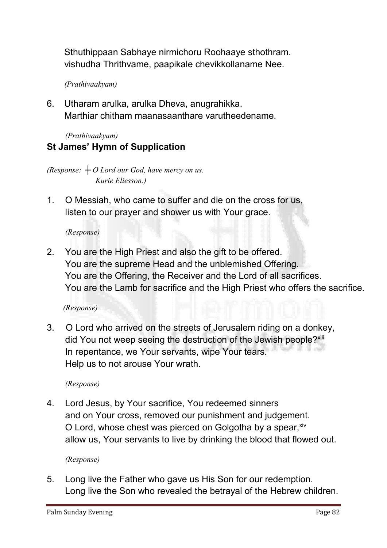**Sthuthippaan Sabhaye nirmichoru Roohaaye sthothram. vishudha Thrithvame, paapikale chevikkollaname Nee.**

*(Prathivaakyam)* 

**6. Utharam arulka, arulka Dheva, anugrahikka. Marthiar chitham maanasaanthare varutheedename.**

*(Prathivaakyam)* 

#### St James' Hymn of Supplication

*(Response: ┼ O Lord our God, have mercy on us. Kurie Eliesson.)*

**1. O Messiah, who came to suffer and die on the cross for us, listen to our prayer and shower us with Your grace.**

*(Response)*

**2. You are the High Priest and also the gift to be offered. You are the supreme Head and the unblemished Offering. You are the Offering, the Receiver and the Lord of all sacrifices. You are the Lamb for sacrifice and the High Priest who offers the sacrifice.**

*(Response)* 

**3. O Lord who arrived on the streets of Jerusalem riding on a donkey, did You not weep seeing the destruction of the Jewish people?xiii In repentance, we Your servants, wipe Your tears. Help us to not arouse Your wrath.**

*(Response)*

**4. Lord Jesus, by Your sacrifice, You redeemed sinners and on Your cross, removed our punishment and judgement. O Lord, whose chest was pierced on Golgotha by a spear, xiv allow us, Your servants to live by drinking the blood that flowed out.**

*(Response)*

**5. Long live the Father who gave us His Son for our redemption. Long live the Son who revealed the betrayal of the Hebrew children.**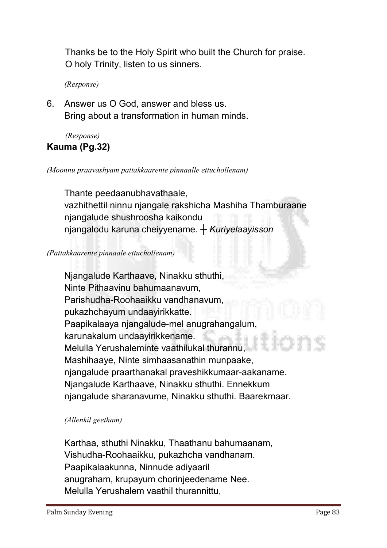**Thanks be to the Holy Spirit who built the Church for praise. O holy Trinity, listen to us sinners.**

*(Response)*

**6. Answer us O God, answer and bless us. Bring about a transformation in human minds.** 

*(Response)*

#### Kauma (Pg.32)

*(Moonnu praavashyam pattakkaarente pinnaalle ettuchollenam)*

**Thante peedaanubhavathaale, vazhithettil ninnu njangale rakshicha Mashiha Thamburaane njangalude shushroosha kaikondu njangalodu karuna cheiyyename.** *┼ Kuriyelaayisson*

#### *(Pattakkaarente pinnaale ettuchollenam)*

**Njangalude Karthaave, Ninakku sthuthi, Ninte Pithaavinu bahumaanavum, Parishudha-Roohaaikku vandhanavum, pukazhchayum undaayirikkatte. Paapikalaaya njangalude-mel anugrahangalum, karunakalum undaayirikkename. Melulla Yerushaleminte vaathilukal thurannu, Mashihaaye, Ninte simhaasanathin munpaake, njangalude praarthanakal praveshikkumaar-aakaname. Njangalude Karthaave, Ninakku sthuthi. Ennekkum njangalude sharanavume, Ninakku sthuthi. Baarekmaar.** 

#### *(Allenkil geetham)*

**Karthaa, sthuthi Ninakku, Thaathanu bahumaanam, Vishudha-Roohaaikku, pukazhcha vandhanam. Paapikalaakunna, Ninnude adiyaaril anugraham, krupayum chorinjeedename Nee. Melulla Yerushalem vaathil thurannittu,**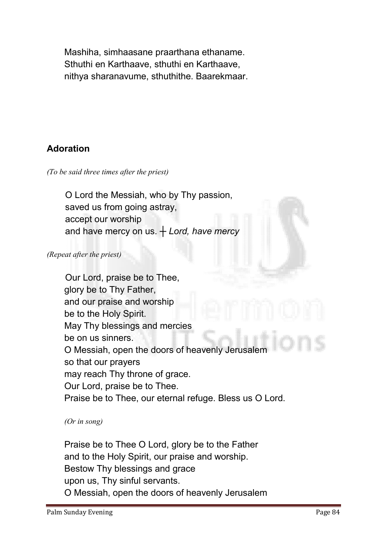**Mashiha, simhaasane praarthana ethaname. Sthuthi en Karthaave, sthuthi en Karthaave, nithya sharanavume, sthuthithe. Baarekmaar.**

#### Adoration

*(To be said three times after the priest)*

**O Lord the Messiah, who by Thy passion, saved us from going astray, accept our worship and have mercy on us.** *┼ Lord, have mercy*

*(Repeat after the priest)*

**Our Lord, praise be to Thee, glory be to Thy Father, and our praise and worship be to the Holy Spirit. May Thy blessings and mercies be on us sinners. O Messiah, open the doors of heavenly Jerusalem so that our prayers may reach Thy throne of grace. Our Lord, praise be to Thee. Praise be to Thee, our eternal refuge. Bless us O Lord.**

#### *(Or in song)*

**Praise be to Thee O Lord, glory be to the Father and to the Holy Spirit, our praise and worship. Bestow Thy blessings and grace upon us, Thy sinful servants. O Messiah, open the doors of heavenly Jerusalem**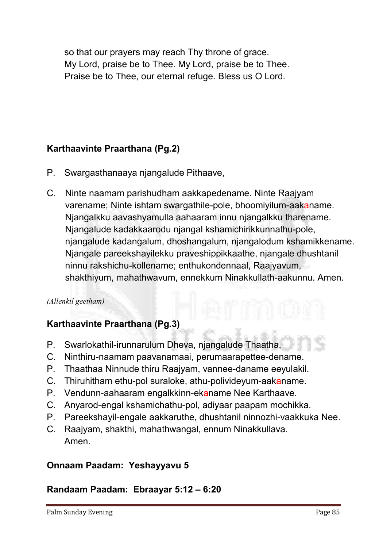**so that our prayers may reach Thy throne of grace. My Lord, praise be to Thee. My Lord, praise be to Thee. Praise be to Thee, our eternal refuge. Bless us O Lord.**

#### Karthaavinte Praarthana (Pg.2)

- **P. Swargasthanaaya njangalude Pithaave,**
- **C. Ninte naamam parishudham aakkapedename. Ninte Raajyam varename; Ninte ishtam swargathile-pole, bhoomiyilum-aakaname. Njangalkku aavashyamulla aahaaram innu njangalkku tharename. Njangalude kadakkaarodu njangal kshamichirikkunnathu-pole, njangalude kadangalum, dhoshangalum, njangalodum kshamikkename. Njangale pareekshayilekku praveshippikkaathe, njangale dhushtanil ninnu rakshichu-kollename; enthukondennaal, Raajyavum, shakthiyum, mahathwavum, ennekkum Ninakkullath-aakunnu. Amen.**

#### *(Allenkil geetham)*

#### Karthaavinte Praarthana (Pg.3)

- **P. Swarlokathil-irunnarulum Dheva, njangalude Thaatha,**
- **C. Ninthiru-naamam paavanamaai, perumaarapettee-dename.**
- **P. Thaathaa Ninnude thiru Raajyam, vannee-daname eeyulakil.**
- **C. Thiruhitham ethu-pol suraloke, athu-polivideyum-aakaname.**
- **P. Vendunn-aahaaram engalkkinn-ekaname Nee Karthaave.**
- **C. Anyarod-engal kshamichathu-pol, adiyaar paapam mochikka.**
- **P. Pareekshayil-engale aakkaruthe, dhushtanil ninnozhi-vaakkuka Nee.**
- **C. Raajyam, shakthi, mahathwangal, ennum Ninakkullava. Amen.**

#### Onnaam Paadam: Yeshayyavu 5

#### Randaam Paadam:Ebraayar 5:12 – 6:20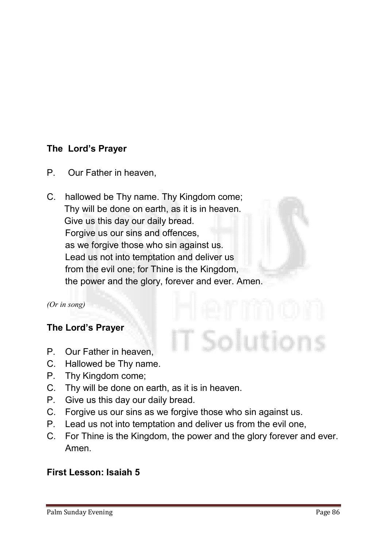#### The Lord's Prayer

- **P. Our Father in heaven,**
- **C. hallowed be Thy name. Thy Kingdom come; Thy will be done on earth, as it is in heaven. Give us this day our daily bread. Forgive us our sins and offences, as we forgive those who sin against us. Lead us not into temptation and deliver us from the evil one; for Thine is the Kingdom, the power and the glory, forever and ever. Amen.**

*(Or in song)*

#### The Lord's Prayer

- **P. Our Father in heaven,**
- **C. Hallowed be Thy name.**
- **P. Thy Kingdom come;**
- **C. Thy will be done on earth, as it is in heaven.**
- **P. Give us this day our daily bread.**
- **C. Forgive us our sins as we forgive those who sin against us.**
- **P. Lead us not into temptation and deliver us from the evil one,**
- **C. For Thine is the Kingdom, the power and the glory forever and ever. Amen.**

T Solutions

#### First Lesson: Isaiah 5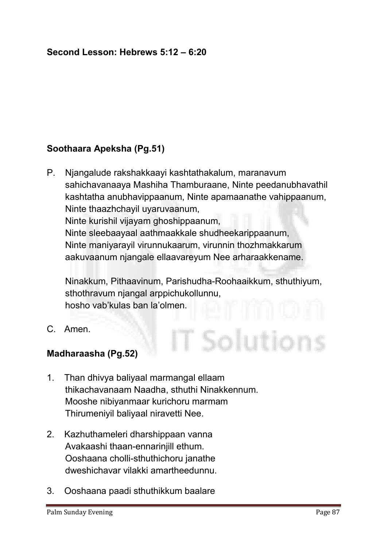#### Second Lesson: Hebrews 5:12 – 6:20

#### Soothaara Apeksha (Pg.51)

**P. Njangalude rakshakkaayi kashtathakalum, maranavum sahichavanaaya Mashiha Thamburaane, Ninte peedanubhavathil kashtatha anubhavippaanum, Ninte apamaanathe vahippaanum, Ninte thaazhchayil uyaruvaanum, Ninte kurishil vijayam ghoshippaanum, Ninte sleebaayaal aathmaakkale shudheekarippaanum, Ninte maniyarayil virunnukaarum, virunnin thozhmakkarum aakuvaanum njangale ellaavareyum Nee arharaakkename.** 

**Ninakkum, Pithaavinum, Parishudha-Roohaaikkum, sthuthiyum, sthothravum njangal arppichukollunnu, hosho vab'kulas ban la'olmen.**

T Solutions

**C. Amen.**

#### Madharaasha (Pg.52)

- **1. Than dhivya baliyaal marmangal ellaam thikachavanaam Naadha, sthuthi Ninakkennum. Mooshe nibiyanmaar kurichoru marmam Thirumeniyil baliyaal niravetti Nee.**
- **2. Kazhuthameleri dharshippaan vanna Avakaashi thaan-ennarinjill ethum. Ooshaana cholli-sthuthichoru janathe dweshichavar vilakki amartheedunnu.**
- **3. Ooshaana paadi sthuthikkum baalare**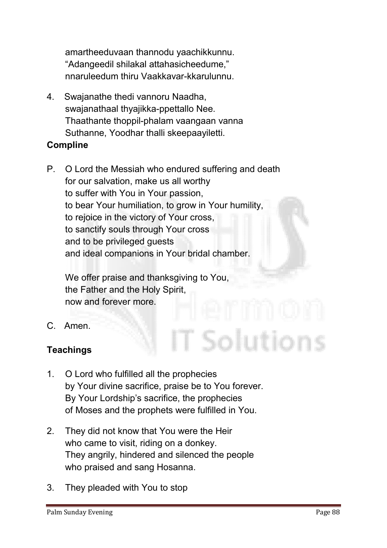**amartheeduvaan thannodu yaachikkunnu. "Adangeedil shilakal attahasicheedume," nnaruleedum thiru Vaakkavar-kkarulunnu.**

- **4. Swajanathe thedi vannoru Naadha, swajanathaal thyajikka-ppettallo Nee. Thaathante thoppil-phalam vaangaan vanna Suthanne, Yoodhar thalli skeepaayiletti.** Compline
- **P. O Lord the Messiah who endured suffering and death for our salvation, make us all worthy to suffer with You in Your passion, to bear Your humiliation, to grow in Your humility, to rejoice in the victory of Your cross, to sanctify souls through Your cross and to be privileged guests and ideal companions in Your bridal chamber.**

**We offer praise and thanksgiving to You, the Father and the Holy Spirit, now and forever more.**

**C. Amen.**

#### **Teachings**

- **1. O Lord who fulfilled all the prophecies by Your divine sacrifice, praise be to You forever. By Your Lordship's sacrifice, the prophecies of Moses and the prophets were fulfilled in You.**
- **2. They did not know that You were the Heir who came to visit, riding on a donkey. They angrily, hindered and silenced the people who praised and sang Hosanna.**
- **3. They pleaded with You to stop**

T Solutions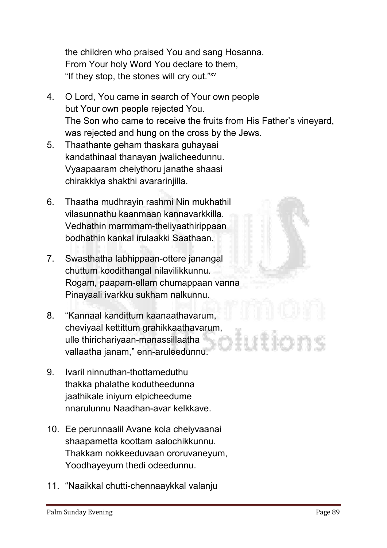**the children who praised You and sang Hosanna. From Your holy Word You declare to them, "If they stop, the stones will cry out."xv**

- **4. O Lord, You came in search of Your own people but Your own people rejected You. The Son who came to receive the fruits from His Father's vineyard, was rejected and hung on the cross by the Jews.**
- **5. Thaathante geham thaskara guhayaai kandathinaal thanayan jwalicheedunnu. Vyaapaaram cheiythoru janathe shaasi chirakkiya shakthi avararinjilla.**
- **6. Thaatha mudhrayin rashmi Nin mukhathil vilasunnathu kaanmaan kannavarkkilla. Vedhathin marmmam-theliyaathirippaan bodhathin kankal irulaakki Saathaan.**
- **7. Swasthatha labhippaan-ottere janangal chuttum koodithangal nilavilikkunnu. Rogam, paapam-ellam chumappaan vanna Pinayaali ivarkku sukham nalkunnu.**
- **8. "Kannaal kandittum kaanaathavarum, cheviyaal kettittum grahikkaathavarum, ulle thirichariyaan-manassillaatha vallaatha janam," enn-aruleedunnu.**
- **9. Ivaril ninnuthan-thottameduthu thakka phalathe kodutheedunna jaathikale iniyum elpicheedume nnarulunnu Naadhan-avar kelkkave.**
- **10. Ee perunnaalil Avane kola cheiyvaanai shaapametta koottam aalochikkunnu. Thakkam nokkeeduvaan ororuvaneyum, Yoodhayeyum thedi odeedunnu.**
- **11. "Naaikkal chutti-chennaaykkal valanju**



Palm Sunday Evening Page 89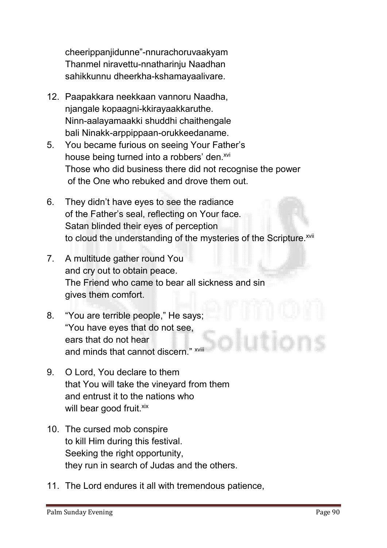**cheerippanjidunne"-nnurachoruvaakyam Thanmel niravettu-nnatharinju Naadhan sahikkunnu dheerkha-kshamayaalivare.**

- **12. Paapakkara neekkaan vannoru Naadha, njangale kopaagni-kkirayaakkaruthe. Ninn-aalayamaakki shuddhi chaithengale bali Ninakk-arppippaan-orukkeedaname.**
- **5. You became furious on seeing Your Father's house being turned into a robbers' den.xvi Those who did business there did not recognise the power of the One who rebuked and drove them out.**
- **6. They didn't have eyes to see the radiance of the Father's seal, reflecting on Your face. Satan blinded their eyes of perception** to cloud the understanding of the mysteries of the Scripture.<sup>xvii</sup>
- **7. A multitude gather round You and cry out to obtain peace. The Friend who came to bear all sickness and sin gives them comfort.**
- **8. "You are terrible people," He says; "You have eyes that do not see, ears that do not hear and minds that cannot discern." xviii**
- **9. O Lord, You declare to them that You will take the vineyard from them and entrust it to the nations who will bear good fruit. xix**
- **10. The cursed mob conspire to kill Him during this festival. Seeking the right opportunity, they run in search of Judas and the others.**
- **11. The Lord endures it all with tremendous patience,**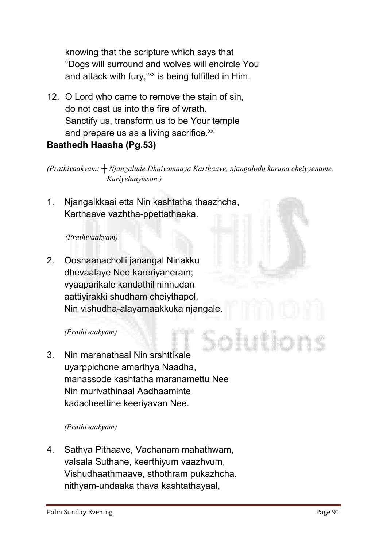**knowing that the scripture which says that "Dogs will surround and wolves will encircle You**  and attack with fury,"xx is being fulfilled in Him.

**12. O Lord who came to remove the stain of sin, do not cast us into the fire of wrath. Sanctify us, transform us to be Your temple** and prepare us as a living sacrifice.<sup>xxi</sup> Baathedh Haasha (Pg.53)

*(Prathivaakyam: ┼ Njangalude Dhaivamaaya Karthaave, njangalodu karuna cheiyyename. Kuriyelaayisson.)* 

**1. Njangalkkaai etta Nin kashtatha thaazhcha, Karthaave vazhtha-ppettathaaka.**

#### *(Prathivaakyam)*

**2. Ooshaanacholli janangal Ninakku dhevaalaye Nee kareriyaneram; vyaaparikale kandathil ninnudan aattiyirakki shudham cheiythapol, Nin vishudha-alayamaakkuka njangale.**

#### *(Prathivaakyam)*

**3. Nin maranathaal Nin srshttikale uyarppichone amarthya Naadha, manassode kashtatha maranamettu Nee Nin murivathinaal Aadhaaminte kadacheettine keeriyavan Nee.**

#### *(Prathivaakyam)*

**4. Sathya Pithaave, Vachanam mahathwam, valsala Suthane, keerthiyum vaazhvum, Vishudhaathmaave, sthothram pukazhcha. nithyam-undaaka thava kashtathayaal,**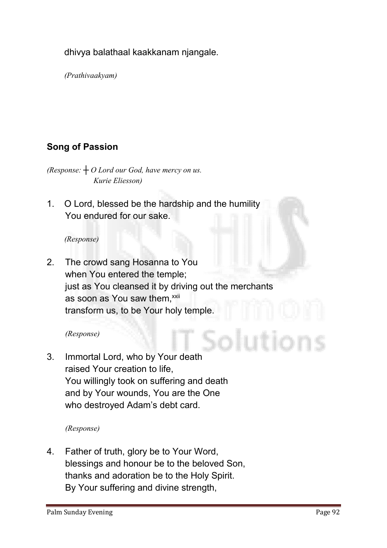**dhivya balathaal kaakkanam njangale.**

*(Prathivaakyam)* 

## Song of Passion

*(Response: ┼ O Lord our God, have mercy on us. Kurie Eliesson)*

**1. O Lord, blessed be the hardship and the humility You endured for our sake.** 

#### *(Response)*

**2. The crowd sang Hosanna to You when You entered the temple; just as You cleansed it by driving out the merchants**  as soon as You saw them,<sup>xxii</sup> **transform us, to be Your holy temple.**

#### *(Response)*

**3. Immortal Lord, who by Your death raised Your creation to life, You willingly took on suffering and death and by Your wounds, You are the One who destroyed Adam's debt card.**

*(Response)*

**4. Father of truth, glory be to Your Word, blessings and honour be to the beloved Son, thanks and adoration be to the Holy Spirit. By Your suffering and divine strength,**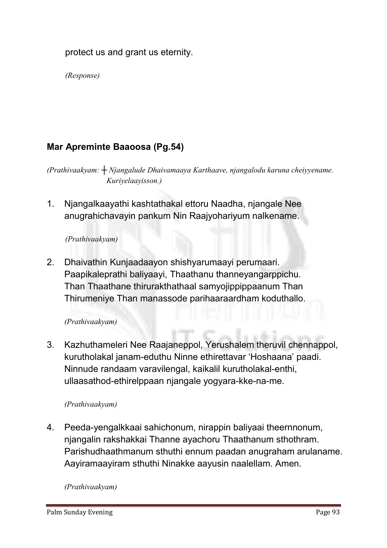**protect us and grant us eternity.**

*(Response)*

#### Mar Apreminte Baaoosa (Pg.54)

*(Prathivaakyam: ┼ Njangalude Dhaivamaaya Karthaave, njangalodu karuna cheiyyename. Kuriyelaayisson.)* 

**1. Njangalkaayathi kashtathakal ettoru Naadha, njangale Nee anugrahichavayin pankum Nin Raajyohariyum nalkename.**

#### *(Prathivaakyam)*

**2. Dhaivathin Kunjaadaayon shishyarumaayi perumaari. Paapikaleprathi baliyaayi, Thaathanu thanneyangarppichu. Than Thaathane thirurakthathaal samyojippippaanum Than Thirumeniye Than manassode parihaaraardham koduthallo.**

#### *(Prathivaakyam)*

**3. Kazhuthameleri Nee Raajaneppol, Yerushalem theruvil chennappol, kurutholakal janam-eduthu Ninne ethirettavar 'Hoshaana' paadi. Ninnude randaam varavilengal, kaikalil kurutholakal-enthi, ullaasathod-ethirelppaan njangale yogyara-kke-na-me.**

#### *(Prathivaakyam)*

**4. Peeda-yengalkkaai sahichonum, nirappin baliyaai theernnonum, njangalin rakshakkai Thanne ayachoru Thaathanum sthothram. Parishudhaathmanum sthuthi ennum paadan anugraham arulaname. Aayiramaayiram sthuthi Ninakke aayusin naalellam. Amen.**

*(Prathivaakyam)*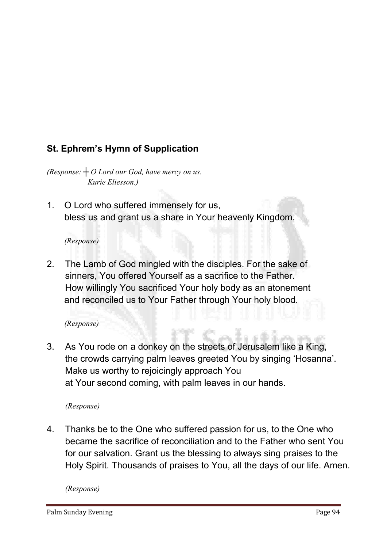# St. Ephrem's Hymn of Supplication

*(Response: ┼ O Lord our God, have mercy on us. Kurie Eliesson.)*

**1. O Lord who suffered immensely for us, bless us and grant us a share in Your heavenly Kingdom.**

#### *(Response)*

**2. The Lamb of God mingled with the disciples. For the sake of sinners, You offered Yourself as a sacrifice to the Father. How willingly You sacrificed Your holy body as an atonement and reconciled us to Your Father through Your holy blood.**

#### *(Response)*

**3. As You rode on a donkey on the streets of Jerusalem like a King, the crowds carrying palm leaves greeted You by singing 'Hosanna'. Make us worthy to rejoicingly approach You at Your second coming, with palm leaves in our hands.**

#### *(Response)*

**4. Thanks be to the One who suffered passion for us, to the One who became the sacrifice of reconciliation and to the Father who sent You for our salvation. Grant us the blessing to always sing praises to the Holy Spirit. Thousands of praises to You, all the days of our life. Amen.**

*(Response)*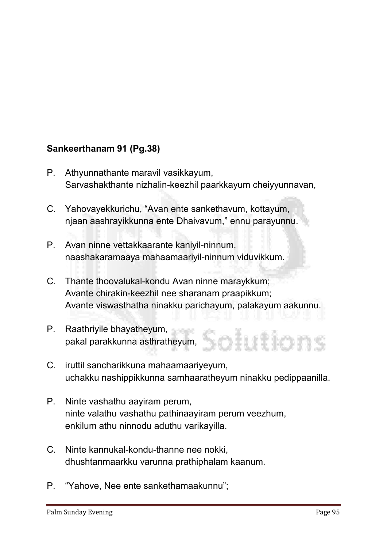#### Sankeerthanam 91 (Pg.38)

- **P. Athyunnathante maravil vasikkayum, Sarvashakthante nizhalin-keezhil paarkkayum cheiyyunnavan,**
- **C. Yahovayekkurichu, "Avan ente sankethavum, kottayum, njaan aashrayikkunna ente Dhaivavum," ennu parayunnu.**
- **P. Avan ninne vettakkaarante kaniyil-ninnum, naashakaramaaya mahaamaariyil-ninnum viduvikkum.**
- **C. Thante thoovalukal-kondu Avan ninne maraykkum; Avante chirakin-keezhil nee sharanam praapikkum; Avante viswasthatha ninakku parichayum, palakayum aakunnu.**
- **P. Raathriyile bhayatheyum, pakal parakkunna asthratheyum,**
- **C. iruttil sancharikkuna mahaamaariyeyum, uchakku nashippikkunna samhaaratheyum ninakku pedippaanilla.**
- **P. Ninte vashathu aayiram perum, ninte valathu vashathu pathinaayiram perum veezhum, enkilum athu ninnodu aduthu varikayilla.**
- **C. Ninte kannukal-kondu-thanne nee nokki, dhushtanmaarkku varunna prathiphalam kaanum.**
- **P. "Yahove, Nee ente sankethamaakunnu";**

utions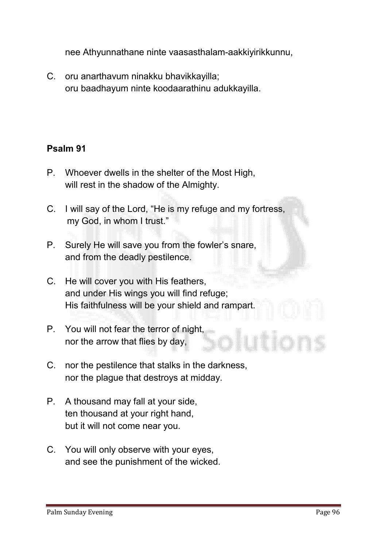**nee Athyunnathane ninte vaasasthalam-aakkiyirikkunnu,**

**C. oru anarthavum ninakku bhavikkayilla; oru baadhayum ninte koodaarathinu adukkayilla.**

#### Psalm 91

- **P. Whoever dwells in the shelter of the Most High, will rest in the shadow of the Almighty.**
- **C. I will say of the Lord, "He is my refuge and my fortress, my God, in whom I trust."**
- **P. Surely He will save you from the fowler's snare, and from the deadly pestilence.**
- **C. He will cover you with His feathers, and under His wings you will find refuge; His faithfulness will be your shield and rampart.**
- **P. You will not fear the terror of night, nor the arrow that flies by day,**
- **C. nor the pestilence that stalks in the darkness, nor the plague that destroys at midday.**
- **P. A thousand may fall at your side, ten thousand at your right hand, but it will not come near you.**
- **C. You will only observe with your eyes, and see the punishment of the wicked.**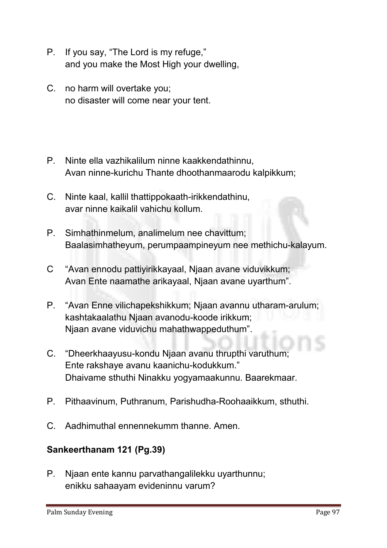- **P. If you say, "The Lord is my refuge," and you make the Most High your dwelling,**
- **C. no harm will overtake you; no disaster will come near your tent.**
- **P. Ninte ella vazhikalilum ninne kaakkendathinnu, Avan ninne-kurichu Thante dhoothanmaarodu kalpikkum;**
- **C. Ninte kaal, kallil thattippokaath-irikkendathinu, avar ninne kaikalil vahichu kollum.**
- **P. Simhathinmelum, analimelum nee chavittum; Baalasimhatheyum, perumpaampineyum nee methichu-kalayum.**
- **C "Avan ennodu pattiyirikkayaal, Njaan avane viduvikkum; Avan Ente naamathe arikayaal, Njaan avane uyarthum".**
- **P. "Avan Enne vilichapekshikkum; Njaan avannu utharam-arulum; kashtakaalathu Njaan avanodu-koode irikkum; Njaan avane viduvichu mahathwappeduthum".**
- **C. "Dheerkhaayusu-kondu Njaan avanu thrupthi varuthum; Ente rakshaye avanu kaanichu-kodukkum." Dhaivame sthuthi Ninakku yogyamaakunnu. Baarekmaar.**
- **P. Pithaavinum, Puthranum, Parishudha-Roohaaikkum, sthuthi.**
- **C. Aadhimuthal ennennekumm thanne. Amen.**

#### Sankeerthanam 121 (Pg.39)

**P. Njaan ente kannu parvathangalilekku uyarthunnu; enikku sahaayam evideninnu varum?**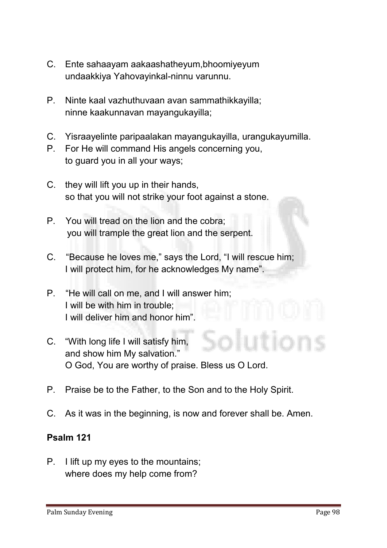- **C. Ente sahaayam aakaashatheyum,bhoomiyeyum undaakkiya Yahovayinkal-ninnu varunnu.**
- **P. Ninte kaal vazhuthuvaan avan sammathikkayilla; ninne kaakunnavan mayangukayilla;**
- **C. Yisraayelinte paripaalakan mayangukayilla, urangukayumilla.**
- **P. For He will command His angels concerning you, to guard you in all your ways;**
- **C. they will lift you up in their hands, so that you will not strike your foot against a stone.**
- **P. You will tread on the lion and the cobra; you will trample the great lion and the serpent.**
- **C. "Because he loves me," says the Lord, "I will rescue him; I will protect him, for he acknowledges My name".**
- **P. "He will call on me, and I will answer him; I will be with him in trouble; I will deliver him and honor him".**
- **C. "With long life I will satisfy him, and show him My salvation." O God, You are worthy of praise. Bless us O Lord.**
- **P. Praise be to the Father, to the Son and to the Holy Spirit.**
- **C. As it was in the beginning, is now and forever shall be. Amen.**

#### Psalm 121

**P. I lift up my eyes to the mountains; where does my help come from?**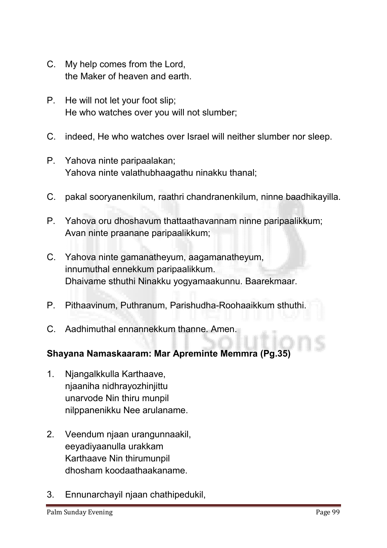- **C. My help comes from the Lord, the Maker of heaven and earth.**
- **P. He will not let your foot slip; He who watches over you will not slumber;**
- **C. indeed, He who watches over Israel will neither slumber nor sleep.**
- **P. Yahova ninte paripaalakan; Yahova ninte valathubhaagathu ninakku thanal;**
- **C. pakal sooryanenkilum, raathri chandranenkilum, ninne baadhikayilla.**
- **P. Yahova oru dhoshavum thattaathavannam ninne paripaalikkum; Avan ninte praanane paripaalikkum;**
- **C. Yahova ninte gamanatheyum, aagamanatheyum, innumuthal ennekkum paripaalikkum. Dhaivame sthuthi Ninakku yogyamaakunnu. Baarekmaar.**
- **P. Pithaavinum, Puthranum, Parishudha-Roohaaikkum sthuthi.**
- **C. Aadhimuthal ennannekkum thanne. Amen.**

#### Shayana Namaskaaram: Mar Apreminte Memmra (Pg.35)

- **1. Njangalkkulla Karthaave, njaaniha nidhrayozhinjittu unarvode Nin thiru munpil nilppanenikku Nee arulaname.**
- **2. Veendum njaan urangunnaakil, eeyadiyaanulla urakkam Karthaave Nin thirumunpil dhosham koodaathaakaname.**
- **3. Ennunarchayil njaan chathipedukil,**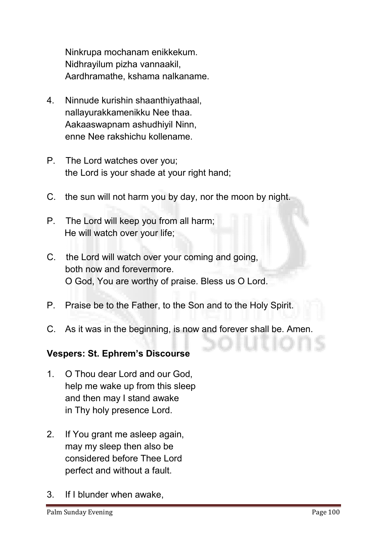**Ninkrupa mochanam enikkekum. Nidhrayilum pizha vannaakil, Aardhramathe, kshama nalkaname.**

- **4. Ninnude kurishin shaanthiyathaal, nallayurakkamenikku Nee thaa. Aakaaswapnam ashudhiyil Ninn, enne Nee rakshichu kollename.**
- **P. The Lord watches over you; the Lord is your shade at your right hand;**
- **C. the sun will not harm you by day, nor the moon by night.**
- **P. The Lord will keep you from all harm; He will watch over your life;**
- **C. the Lord will watch over your coming and going, both now and forevermore. O God, You are worthy of praise. Bless us O Lord.**
- **P. Praise be to the Father, to the Son and to the Holy Spirit.**
- **C. As it was in the beginning, is now and forever shall be. Amen.**

#### Vespers: St. Ephrem's Discourse

- **1. O Thou dear Lord and our God, help me wake up from this sleep and then may I stand awake in Thy holy presence Lord.**
- **2. If You grant me asleep again, may my sleep then also be considered before Thee Lord perfect and without a fault.**
- **3. If I blunder when awake,**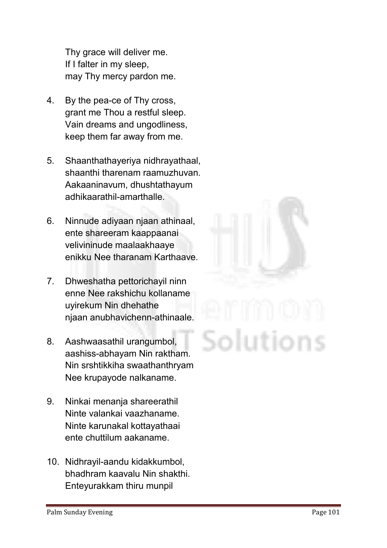**Thy grace will deliver me. If I falter in my sleep, may Thy mercy pardon me.**

- **4. By the pea-ce of Thy cross, grant me Thou a restful sleep. Vain dreams and ungodliness, keep them far away from me.**
- **5. Shaanthathayeriya nidhrayathaal, shaanthi tharenam raamuzhuvan. Aakaaninavum, dhushtathayum adhikaarathil-amarthalle.**
- **6. Ninnude adiyaan njaan athinaal, ente shareeram kaappaanai velivininude maalaakhaaye enikku Nee tharanam Karthaave.**
- **7. Dhweshatha pettorichayil ninn enne Nee rakshichu kollaname uyirekum Nin dhehathe njaan anubhavichenn-athinaale.**
- **8. Aashwaasathil urangumbol, aashiss-abhayam Nin raktham. Nin srshtikkiha swaathanthryam Nee krupayode nalkaname.**
- **9. Ninkai menanja shareerathil Ninte valankai vaazhaname. Ninte karunakal kottayathaai ente chuttilum aakaname.**
- **10. Nidhrayil-aandu kidakkumbol, bhadhram kaavalu Nin shakthi. Enteyurakkam thiru munpil**

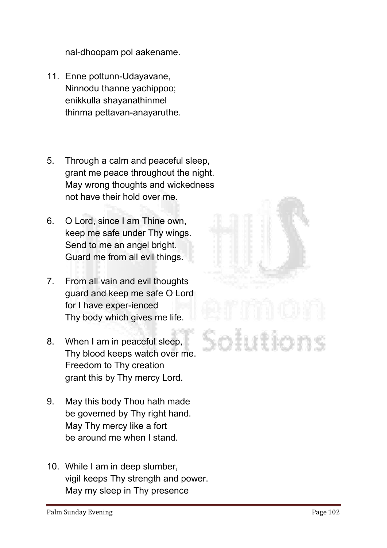**nal-dhoopam pol aakename.**

- **11. Enne pottunn-Udayavane, Ninnodu thanne yachippoo; enikkulla shayanathinmel thinma pettavan-anayaruthe.**
- **5. Through a calm and peaceful sleep, grant me peace throughout the night. May wrong thoughts and wickedness not have their hold over me.**
- **6. O Lord, since I am Thine own, keep me safe under Thy wings. Send to me an angel bright. Guard me from all evil things.**
- **7. From all vain and evil thoughts guard and keep me safe O Lord for I have exper-ienced Thy body which gives me life.**
- **8. When I am in peaceful sleep, Thy blood keeps watch over me. Freedom to Thy creation grant this by Thy mercy Lord.**
- **9. May this body Thou hath made be governed by Thy right hand. May Thy mercy like a fort be around me when I stand.**
- **10. While I am in deep slumber, vigil keeps Thy strength and power. May my sleep in Thy presence**

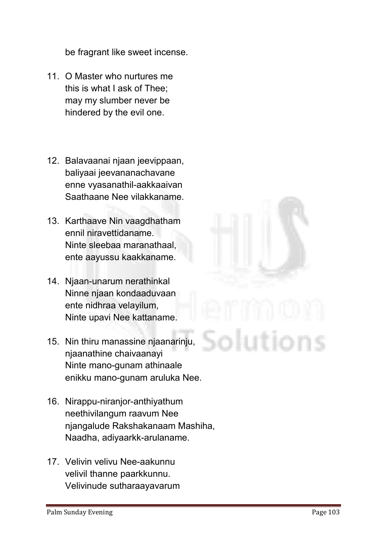**be fragrant like sweet incense.**

- **11. O Master who nurtures me this is what I ask of Thee; may my slumber never be hindered by the evil one.**
- **12. Balavaanai njaan jeevippaan, baliyaai jeevananachavane enne vyasanathil-aakkaaivan Saathaane Nee vilakkaname.**
- **13. Karthaave Nin vaagdhatham ennil niravettidaname. Ninte sleebaa maranathaal, ente aayussu kaakkaname.**
- **14. Njaan-unarum nerathinkal Ninne njaan kondaaduvaan ente nidhraa velayilum, Ninte upavi Nee kattaname.**
- **15. Nin thiru manassine njaanarinju, njaanathine chaivaanayi Ninte mano-gunam athinaale enikku mano-gunam aruluka Nee.**
- **16. Nirappu-niranjor-anthiyathum neethivilangum raavum Nee njangalude Rakshakanaam Mashiha, Naadha, adiyaarkk-arulaname.**
- **17. Velivin velivu Nee-aakunnu velivil thanne paarkkunnu. Velivinude sutharaayavarum**

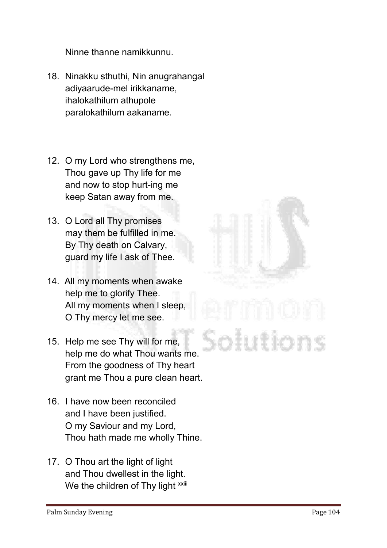**Ninne thanne namikkunnu.**

- **18. Ninakku sthuthi, Nin anugrahangal adiyaarude-mel irikkaname, ihalokathilum athupole paralokathilum aakaname.**
- **12. O my Lord who strengthens me, Thou gave up Thy life for me and now to stop hurt-ing me keep Satan away from me.**
- **13. O Lord all Thy promises may them be fulfilled in me. By Thy death on Calvary, guard my life I ask of Thee.**
- **14. All my moments when awake help me to glorify Thee. All my moments when I sleep, O Thy mercy let me see.**
- **15. Help me see Thy will for me, help me do what Thou wants me. From the goodness of Thy heart grant me Thou a pure clean heart.**
- **16. I have now been reconciled and I have been justified. O my Saviour and my Lord, Thou hath made me wholly Thine.**
- **17. O Thou art the light of light and Thou dwellest in the light.** We the children of Thy light **xxiii**

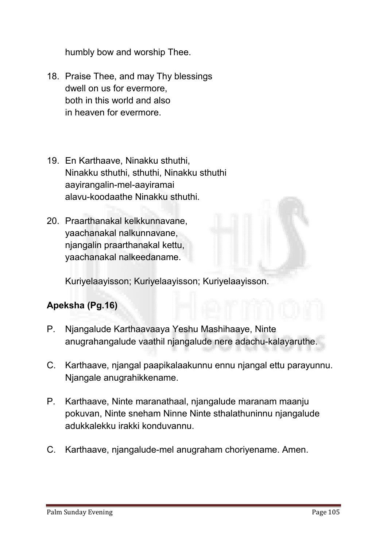**humbly bow and worship Thee.**

- **18. Praise Thee, and may Thy blessings dwell on us for evermore, both in this world and also in heaven for evermore.**
- **19. En Karthaave, Ninakku sthuthi, Ninakku sthuthi, sthuthi, Ninakku sthuthi aayirangalin-mel-aayiramai alavu-koodaathe Ninakku sthuthi.**
- **20. Praarthanakal kelkkunnavane, yaachanakal nalkunnavane, njangalin praarthanakal kettu, yaachanakal nalkeedaname.**

**Kuriyelaayisson; Kuriyelaayisson; Kuriyelaayisson.**

#### Apeksha (Pg.16)

- **P. Njangalude Karthaavaaya Yeshu Mashihaaye, Ninte anugrahangalude vaathil njangalude nere adachu-kalayaruthe.**
- **C. Karthaave, njangal paapikalaakunnu ennu njangal ettu parayunnu. Njangale anugrahikkename.**
- **P. Karthaave, Ninte maranathaal, njangalude maranam maanju pokuvan, Ninte sneham Ninne Ninte sthalathuninnu njangalude adukkalekku irakki konduvannu.**
- **C. Karthaave, njangalude-mel anugraham choriyename. Amen.**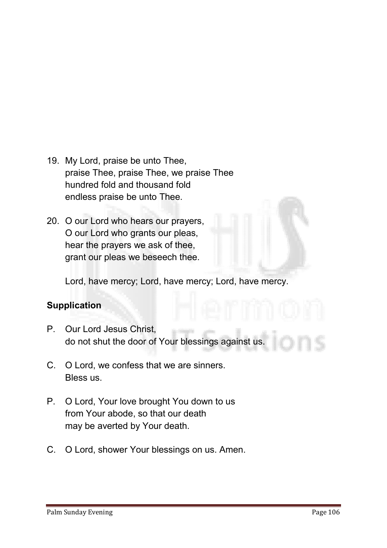- **19. My Lord, praise be unto Thee, praise Thee, praise Thee, we praise Thee hundred fold and thousand fold endless praise be unto Thee.**
- **20. O our Lord who hears our prayers, O our Lord who grants our pleas, hear the prayers we ask of thee, grant our pleas we beseech thee.**

**Lord, have mercy; Lord, have mercy; Lord, have mercy.**

#### **Supplication**

- **P. Our Lord Jesus Christ, do not shut the door of Your blessings against us.**
- **C. O Lord, we confess that we are sinners. Bless us.**
- **P. O Lord, Your love brought You down to us from Your abode, so that our death may be averted by Your death.**
- **C. O Lord, shower Your blessings on us. Amen.**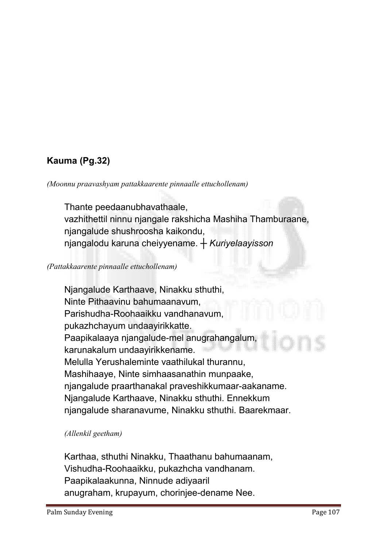## Kauma (Pg.32)

*(Moonnu praavashyam pattakkaarente pinnaalle ettuchollenam)*

**Thante peedaanubhavathaale, vazhithettil ninnu njangale rakshicha Mashiha Thamburaane, njangalude shushroosha kaikondu, njangalodu karuna cheiyyename.** *┼ Kuriyelaayisson*

*(Pattakkaarente pinnaalle ettuchollenam)*

**Njangalude Karthaave, Ninakku sthuthi, Ninte Pithaavinu bahumaanavum, Parishudha-Roohaaikku vandhanavum, pukazhchayum undaayirikkatte. Paapikalaaya njangalude-mel anugrahangalum, karunakalum undaayirikkename. Melulla Yerushaleminte vaathilukal thurannu, Mashihaaye, Ninte simhaasanathin munpaake, njangalude praarthanakal praveshikkumaar-aakaname. Njangalude Karthaave, Ninakku sthuthi. Ennekkum njangalude sharanavume, Ninakku sthuthi. Baarekmaar.** 

*(Allenkil geetham)*

**Karthaa, sthuthi Ninakku, Thaathanu bahumaanam, Vishudha-Roohaaikku, pukazhcha vandhanam. Paapikalaakunna, Ninnude adiyaaril anugraham, krupayum, chorinjee-dename Nee.**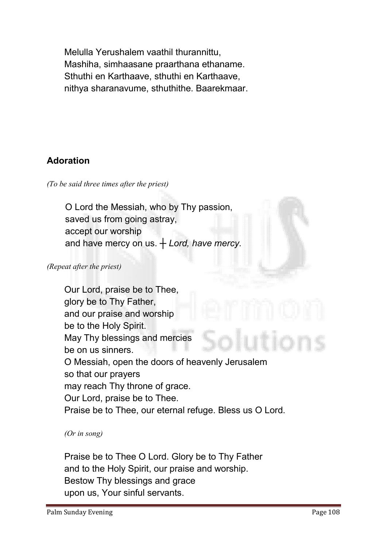**Melulla Yerushalem vaathil thurannittu, Mashiha, simhaasane praarthana ethaname. Sthuthi en Karthaave, sthuthi en Karthaave, nithya sharanavume, sthuthithe. Baarekmaar.**

#### Adoration

*(To be said three times after the priest)*

 **O Lord the Messiah, who by Thy passion, saved us from going astray, accept our worship and have mercy on us.** *┼ Lord, have mercy.*

*(Repeat after the priest)*

**Our Lord, praise be to Thee, glory be to Thy Father, and our praise and worship be to the Holy Spirit. May Thy blessings and mercies be on us sinners. O Messiah, open the doors of heavenly Jerusalem so that our prayers may reach Thy throne of grace. Our Lord, praise be to Thee. Praise be to Thee, our eternal refuge. Bless us O Lord.**

*(Or in song)* 

**Praise be to Thee O Lord. Glory be to Thy Father and to the Holy Spirit, our praise and worship. Bestow Thy blessings and grace upon us, Your sinful servants.**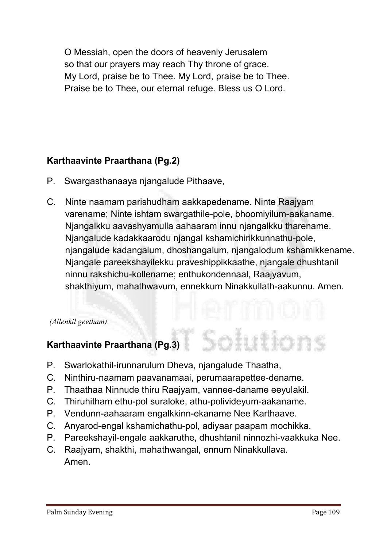**O Messiah, open the doors of heavenly Jerusalem so that our prayers may reach Thy throne of grace. My Lord, praise be to Thee. My Lord, praise be to Thee. Praise be to Thee, our eternal refuge. Bless us O Lord.**

#### Karthaavinte Praarthana (Pg.2)

- **P. Swargasthanaaya njangalude Pithaave,**
- **C. Ninte naamam parishudham aakkapedename. Ninte Raajyam varename; Ninte ishtam swargathile-pole, bhoomiyilum-aakaname. Njangalkku aavashyamulla aahaaram innu njangalkku tharename. Njangalude kadakkaarodu njangal kshamichirikkunnathu-pole, njangalude kadangalum, dhoshangalum, njangalodum kshamikkename. Njangale pareekshayilekku praveshippikkaathe, njangale dhushtanil ninnu rakshichu-kollename; enthukondennaal, Raajyavum, shakthiyum, mahathwavum, ennekkum Ninakkullath-aakunnu. Amen.**

#### *(Allenkil geetham)*

# Karthaavinte Praarthana (Pg.3)

- **P. Swarlokathil-irunnarulum Dheva, njangalude Thaatha,**
- **C. Ninthiru-naamam paavanamaai, perumaarapettee-dename.**
- **P. Thaathaa Ninnude thiru Raajyam, vannee-daname eeyulakil.**
- **C. Thiruhitham ethu-pol suraloke, athu-polivideyum-aakaname.**
- **P. Vendunn-aahaaram engalkkinn-ekaname Nee Karthaave.**
- **C. Anyarod-engal kshamichathu-pol, adiyaar paapam mochikka.**
- **P. Pareekshayil-engale aakkaruthe, dhushtanil ninnozhi-vaakkuka Nee.**
- **C. Raajyam, shakthi, mahathwangal, ennum Ninakkullava. Amen.**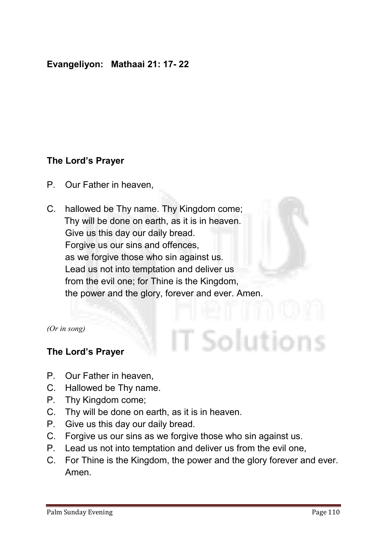#### Evangeliyon: Mathaai 21: 17- 22

#### The Lord's Prayer

- **P. Our Father in heaven,**
- **C. hallowed be Thy name. Thy Kingdom come; Thy will be done on earth, as it is in heaven. Give us this day our daily bread. Forgive us our sins and offences, as we forgive those who sin against us. Lead us not into temptation and deliver us from the evil one; for Thine is the Kingdom, the power and the glory, forever and ever. Amen.**

*(Or in song)*

#### The Lord's Prayer

- **P. Our Father in heaven,**
- **C. Hallowed be Thy name.**
- **P. Thy Kingdom come;**
- **C. Thy will be done on earth, as it is in heaven.**
- **P. Give us this day our daily bread.**
- **C. Forgive us our sins as we forgive those who sin against us.**
- **P. Lead us not into temptation and deliver us from the evil one,**
- **C. For Thine is the Kingdom, the power and the glory forever and ever. Amen.**

T Solutions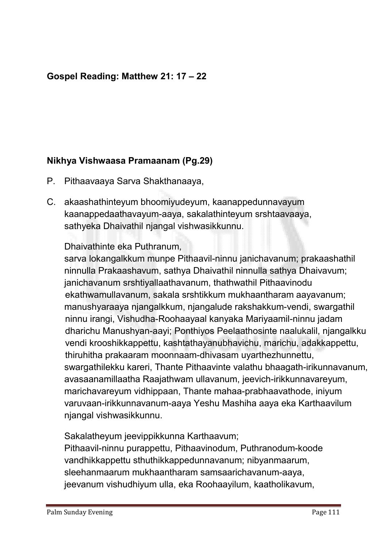#### Gospel Reading: Matthew 21: 17 – 22

#### Nikhya Vishwaasa Pramaanam (Pg.29)

- **P. Pithaavaaya Sarva Shakthanaaya,**
- **C. akaashathinteyum bhoomiyudeyum, kaanappedunnavayum kaanappedaathavayum-aaya, sakalathinteyum srshtaavaaya, sathyeka Dhaivathil njangal vishwasikkunnu.**

**Dhaivathinte eka Puthranum,**

**sarva lokangalkkum munpe Pithaavil-ninnu janichavanum; prakaashathil ninnulla Prakaashavum, sathya Dhaivathil ninnulla sathya Dhaivavum; janichavanum srshtiyallaathavanum, thathwathil Pithaavinodu ekathwamullavanum, sakala srshtikkum mukhaantharam aayavanum; manushyaraaya njangalkkum, njangalude rakshakkum-vendi, swargathil ninnu irangi, Vishudha-Roohaayaal kanyaka Mariyaamil-ninnu jadam dharichu Manushyan-aayi; Ponthiyos Peelaathosinte naalukalil, njangalkku vendi krooshikkappettu, kashtathayanubhavichu, marichu, adakkappettu, thiruhitha prakaaram moonnaam-dhivasam uyarthezhunnettu, swargathilekku kareri, Thante Pithaavinte valathu bhaagath-irikunnavanum, avasaanamillaatha Raajathwam ullavanum, jeevich-irikkunnavareyum, marichavareyum vidhippaan, Thante mahaa-prabhaavathode, iniyum varuvaan-irikkunnavanum-aaya Yeshu Mashiha aaya eka Karthaavilum njangal vishwasikkunnu.**

**Sakalatheyum jeevippikkunna Karthaavum;**

**Pithaavil-ninnu purappettu, Pithaavinodum, Puthranodum-koode vandhikkappettu sthuthikkappedunnavanum; nibyanmaarum, sleehanmaarum mukhaantharam samsaarichavanum-aaya, jeevanum vishudhiyum ulla, eka Roohaayilum, kaatholikavum,**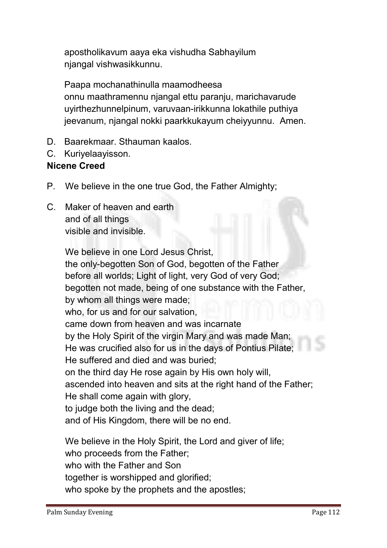**apostholikavum aaya eka vishudha Sabhayilum njangal vishwasikkunnu.**

**Paapa mochanathinulla maamodheesa onnu maathramennu njangal ettu paranju, marichavarude uyirthezhunnelpinum, varuvaan-irikkunna lokathile puthiya jeevanum, njangal nokki paarkkukayum cheiyyunnu. Amen.**

- **D. Baarekmaar. Sthauman kaalos.**
- **C. Kuriyelaayisson.**

#### Nicene Creed

- **P. We believe in the one true God, the Father Almighty;**
- **C. Maker of heaven and earth and of all things visible and invisible.**

**We believe in one Lord Jesus Christ, the only-begotten Son of God, begotten of the Father before all worlds; Light of light, very God of very God; begotten not made, being of one substance with the Father, by whom all things were made; who, for us and for our salvation, came down from heaven and was incarnate by the Holy Spirit of the virgin Mary and was made Man; He was crucified also for us in the days of Pontius Pilate; He suffered and died and was buried; on the third day He rose again by His own holy will, ascended into heaven and sits at the right hand of the Father; He shall come again with glory, to judge both the living and the dead; and of His Kingdom, there will be no end. We believe in the Holy Spirit, the Lord and giver of life; who proceeds from the Father; who with the Father and Son** 

**together is worshipped and glorified;** 

**who spoke by the prophets and the apostles;**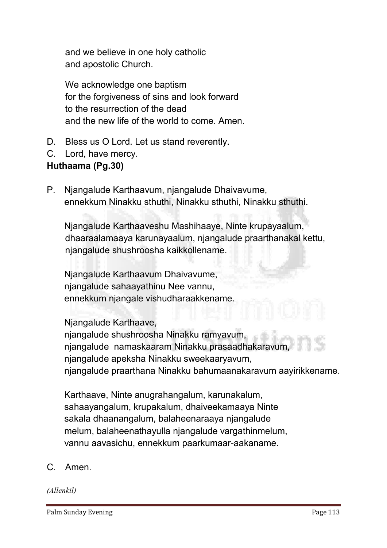**and we believe in one holy catholic and apostolic Church.**

**We acknowledge one baptism for the forgiveness of sins and look forward to the resurrection of the dead and the new life of the world to come. Amen.** 

- **D. Bless us O Lord. Let us stand reverently.**
- **C. Lord, have mercy.**

#### Huthaama (Pg.30)

**P. Njangalude Karthaavum, njangalude Dhaivavume, ennekkum Ninakku sthuthi, Ninakku sthuthi, Ninakku sthuthi.**

**Njangalude Karthaaveshu Mashihaaye, Ninte krupayaalum, dhaaraalamaaya karunayaalum, njangalude praarthanakal kettu, njangalude shushroosha kaikkollename.**

**Njangalude Karthaavum Dhaivavume, njangalude sahaayathinu Nee vannu, ennekkum njangale vishudharaakkename.**

**Njangalude Karthaave,** 

**njangalude shushroosha Ninakku ramyavum, njangalude namaskaaram Ninakku prasaadhakaravum, njangalude apeksha Ninakku sweekaaryavum, njangalude praarthana Ninakku bahumaanakaravum aayirikkename.** 

**Karthaave, Ninte anugrahangalum, karunakalum, sahaayangalum, krupakalum, dhaiveekamaaya Ninte sakala dhaanangalum, balaheenaraaya njangalude melum, balaheenathayulla njangalude vargathinmelum, vannu aavasichu, ennekkum paarkumaar-aakaname.**

**C. Amen.**

*(Allenkil)*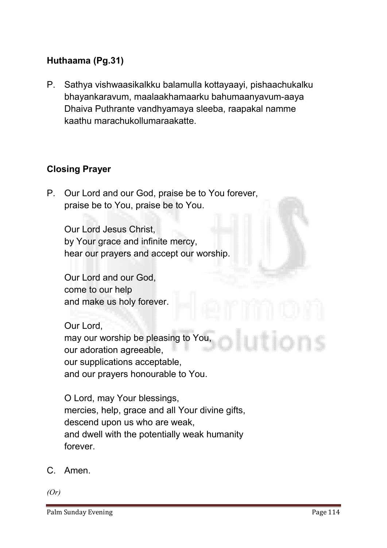#### Huthaama (Pg.31)

**P. Sathya vishwaasikalkku balamulla kottayaayi, pishaachukalku bhayankaravum, maalaakhamaarku bahumaanyavum-aaya Dhaiva Puthrante vandhyamaya sleeba, raapakal namme kaathu marachukollumaraakatte.** 

#### Closing Prayer

**P. Our Lord and our God, praise be to You forever, praise be to You, praise be to You.**

**Our Lord Jesus Christ, by Your grace and infinite mercy, hear our prayers and accept our worship.**

**Our Lord and our God, come to our help and make us holy forever.** 

**Our Lord, may our worship be pleasing to You, our adoration agreeable, our supplications acceptable, and our prayers honourable to You.** 

**O Lord, may Your blessings, mercies, help, grace and all Your divine gifts, descend upon us who are weak, and dwell with the potentially weak humanity forever.**

**C. Amen.**

*(Or)*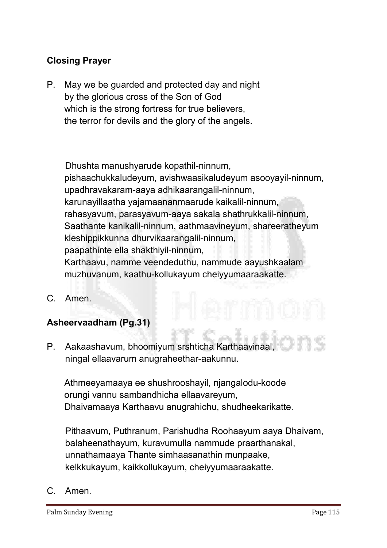#### Closing Prayer

**P. May we be guarded and protected day and night by the glorious cross of the Son of God which is the strong fortress for true believers, the terror for devils and the glory of the angels.** 

**Dhushta manushyarude kopathil-ninnum, pishaachukkaludeyum, avishwaasikaludeyum asooyayil-ninnum, upadhravakaram-aaya adhikaarangalil-ninnum, karunayillaatha yajamaananmaarude kaikalil-ninnum, rahasyavum, parasyavum-aaya sakala shathrukkalil-ninnum, Saathante kanikalil-ninnum, aathmaavineyum, shareeratheyum kleshippikkunna dhurvikaarangalil-ninnum, paapathinte ella shakthiyil-ninnum, Karthaavu, namme veendeduthu, nammude aayushkaalam muzhuvanum, kaathu-kollukayum cheiyyumaaraakatte.**

**C. Amen.**

#### Asheervaadham (Pg.31)

**P. Aakaashavum, bhoomiyum srshticha Karthaavinaal, ningal ellaavarum anugraheethar-aakunnu.**

**Athmeeyamaaya ee shushrooshayil, njangalodu-koode orungi vannu sambandhicha ellaavareyum, Dhaivamaaya Karthaavu anugrahichu, shudheekarikatte.**

**Pithaavum, Puthranum, Parishudha Roohaayum aaya Dhaivam, balaheenathayum, kuravumulla nammude praarthanakal, unnathamaaya Thante simhaasanathin munpaake, kelkkukayum, kaikkollukayum, cheiyyumaaraakatte.**

**C. Amen.**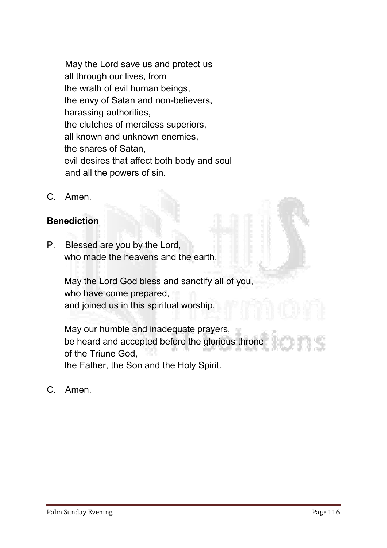**May the Lord save us and protect us all through our lives, from the wrath of evil human beings, the envy of Satan and non-believers, harassing authorities, the clutches of merciless superiors, all known and unknown enemies, the snares of Satan, evil desires that affect both body and soul and all the powers of sin.**

**C. Amen.**

#### **Benediction**

**P. Blessed are you by the Lord, who made the heavens and the earth.** 

> **May the Lord God bless and sanctify all of you, who have come prepared, and joined us in this spiritual worship.**

**May our humble and inadequate prayers, be heard and accepted before the glorious throne of the Triune God, the Father, the Son and the Holy Spirit.**

**C. Amen.**